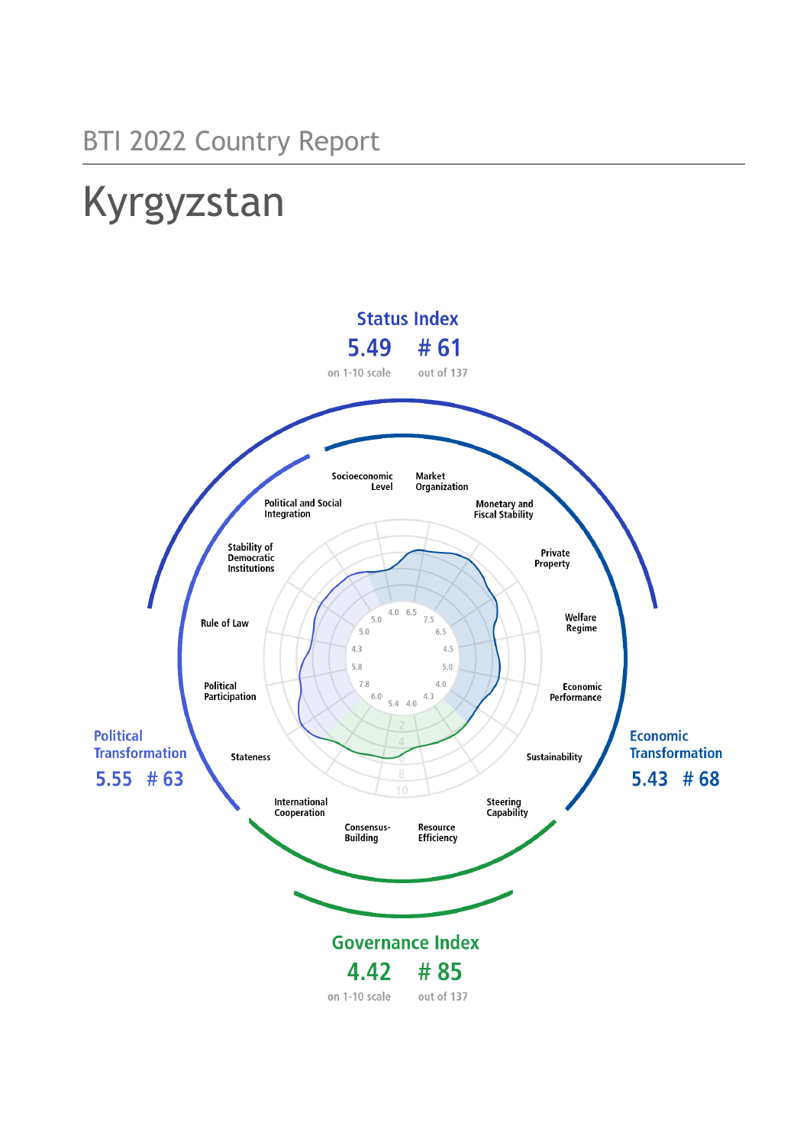# Kyrgyzstan

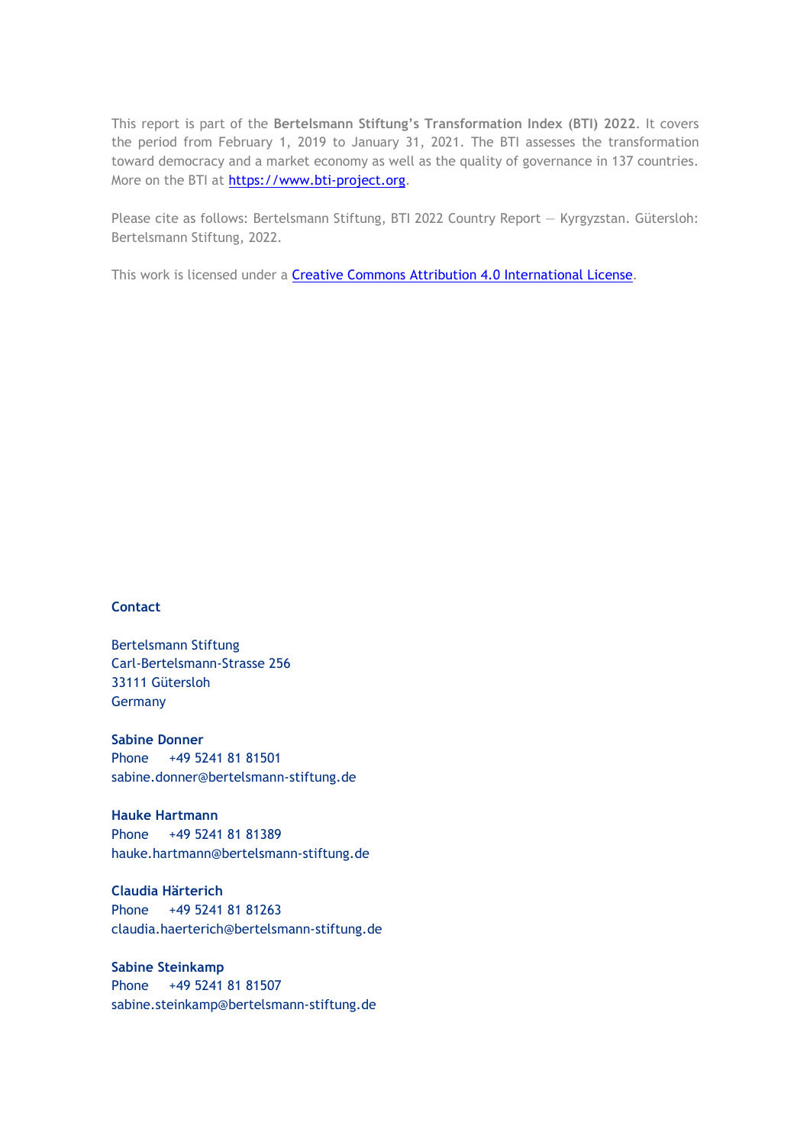This report is part of the **Bertelsmann Stiftung's Transformation Index (BTI) 2022**. It covers the period from February 1, 2019 to January 31, 2021. The BTI assesses the transformation toward democracy and a market economy as well as the quality of governance in 137 countries. More on the BTI at [https://www.bti-project.org.](https://www.bti-project.org/)

Please cite as follows: Bertelsmann Stiftung, BTI 2022 Country Report — Kyrgyzstan. Gütersloh: Bertelsmann Stiftung, 2022.

This work is licensed under a **Creative Commons Attribution 4.0 International License**.

#### **Contact**

Bertelsmann Stiftung Carl-Bertelsmann-Strasse 256 33111 Gütersloh Germany

**Sabine Donner** Phone +49 5241 81 81501 sabine.donner@bertelsmann-stiftung.de

**Hauke Hartmann** Phone +49 5241 81 81389 hauke.hartmann@bertelsmann-stiftung.de

**Claudia Härterich** Phone +49 5241 81 81263 claudia.haerterich@bertelsmann-stiftung.de

#### **Sabine Steinkamp** Phone +49 5241 81 81507 sabine.steinkamp@bertelsmann-stiftung.de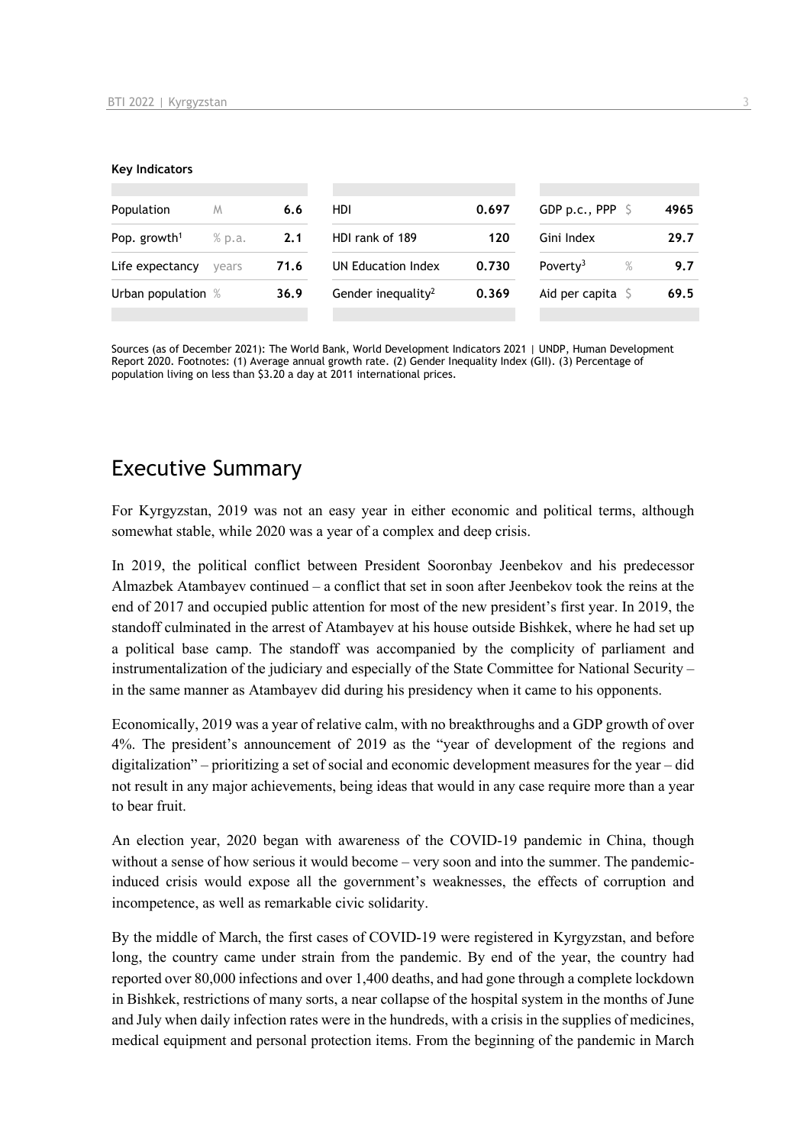#### **Key Indicators**

| Population                       | M      | 6.6                         | HDI                            | 0.697                        | GDP p.c., PPP $\mathsf{S}$ | 4965 |
|----------------------------------|--------|-----------------------------|--------------------------------|------------------------------|----------------------------|------|
| Pop. growth <sup>1</sup>         | % p.a. | 2.1                         | HDI rank of 189                | 120                          | Gini Index                 | 29.7 |
| Life expectancy<br>71.6<br>vears |        | 0.730<br>UN Education Index |                                | Poverty <sup>3</sup><br>$\%$ | 9.7                        |      |
| Urban population %               |        | 36.9                        | Gender inequality <sup>2</sup> | 0.369                        | Aid per capita $\sqrt{5}$  | 69.5 |
|                                  |        |                             |                                |                              |                            |      |

Sources (as of December 2021): The World Bank, World Development Indicators 2021 | UNDP, Human Development Report 2020. Footnotes: (1) Average annual growth rate. (2) Gender Inequality Index (GII). (3) Percentage of population living on less than \$3.20 a day at 2011 international prices.

# Executive Summary

For Kyrgyzstan, 2019 was not an easy year in either economic and political terms, although somewhat stable, while 2020 was a year of a complex and deep crisis.

In 2019, the political conflict between President Sooronbay Jeenbekov and his predecessor Almazbek Atambayev continued – a conflict that set in soon after Jeenbekov took the reins at the end of 2017 and occupied public attention for most of the new president's first year. In 2019, the standoff culminated in the arrest of Atambayev at his house outside Bishkek, where he had set up a political base camp. The standoff was accompanied by the complicity of parliament and instrumentalization of the judiciary and especially of the State Committee for National Security – in the same manner as Atambayev did during his presidency when it came to his opponents.

Economically, 2019 was a year of relative calm, with no breakthroughs and a GDP growth of over 4%. The president's announcement of 2019 as the "year of development of the regions and digitalization" – prioritizing a set of social and economic development measures for the year – did not result in any major achievements, being ideas that would in any case require more than a year to bear fruit.

An election year, 2020 began with awareness of the COVID-19 pandemic in China, though without a sense of how serious it would become – very soon and into the summer. The pandemicinduced crisis would expose all the government's weaknesses, the effects of corruption and incompetence, as well as remarkable civic solidarity.

By the middle of March, the first cases of COVID-19 were registered in Kyrgyzstan, and before long, the country came under strain from the pandemic. By end of the year, the country had reported over 80,000 infections and over 1,400 deaths, and had gone through a complete lockdown in Bishkek, restrictions of many sorts, a near collapse of the hospital system in the months of June and July when daily infection rates were in the hundreds, with a crisis in the supplies of medicines, medical equipment and personal protection items. From the beginning of the pandemic in March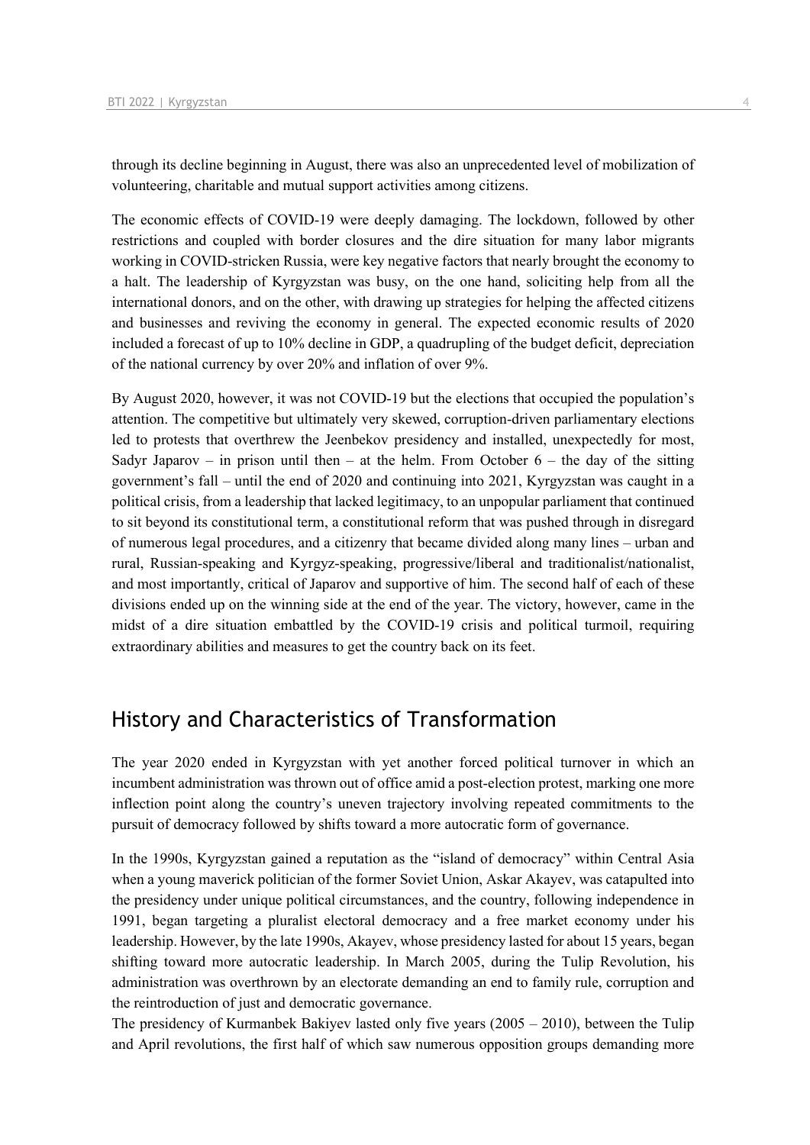through its decline beginning in August, there was also an unprecedented level of mobilization of volunteering, charitable and mutual support activities among citizens.

The economic effects of COVID-19 were deeply damaging. The lockdown, followed by other restrictions and coupled with border closures and the dire situation for many labor migrants working in COVID-stricken Russia, were key negative factors that nearly brought the economy to a halt. The leadership of Kyrgyzstan was busy, on the one hand, soliciting help from all the international donors, and on the other, with drawing up strategies for helping the affected citizens and businesses and reviving the economy in general. The expected economic results of 2020 included a forecast of up to 10% decline in GDP, a quadrupling of the budget deficit, depreciation of the national currency by over 20% and inflation of over 9%.

By August 2020, however, it was not COVID-19 but the elections that occupied the population's attention. The competitive but ultimately very skewed, corruption-driven parliamentary elections led to protests that overthrew the Jeenbekov presidency and installed, unexpectedly for most, Sadyr Japarov – in prison until then – at the helm. From October  $6$  – the day of the sitting government's fall – until the end of 2020 and continuing into 2021, Kyrgyzstan was caught in a political crisis, from a leadership that lacked legitimacy, to an unpopular parliament that continued to sit beyond its constitutional term, a constitutional reform that was pushed through in disregard of numerous legal procedures, and a citizenry that became divided along many lines – urban and rural, Russian-speaking and Kyrgyz-speaking, progressive/liberal and traditionalist/nationalist, and most importantly, critical of Japarov and supportive of him. The second half of each of these divisions ended up on the winning side at the end of the year. The victory, however, came in the midst of a dire situation embattled by the COVID-19 crisis and political turmoil, requiring extraordinary abilities and measures to get the country back on its feet.

# History and Characteristics of Transformation

The year 2020 ended in Kyrgyzstan with yet another forced political turnover in which an incumbent administration was thrown out of office amid a post-election protest, marking one more inflection point along the country's uneven trajectory involving repeated commitments to the pursuit of democracy followed by shifts toward a more autocratic form of governance.

In the 1990s, Kyrgyzstan gained a reputation as the "island of democracy" within Central Asia when a young maverick politician of the former Soviet Union, Askar Akayev, was catapulted into the presidency under unique political circumstances, and the country, following independence in 1991, began targeting a pluralist electoral democracy and a free market economy under his leadership. However, by the late 1990s, Akayev, whose presidency lasted for about 15 years, began shifting toward more autocratic leadership. In March 2005, during the Tulip Revolution, his administration was overthrown by an electorate demanding an end to family rule, corruption and the reintroduction of just and democratic governance.

The presidency of Kurmanbek Bakiyev lasted only five years (2005 – 2010), between the Tulip and April revolutions, the first half of which saw numerous opposition groups demanding more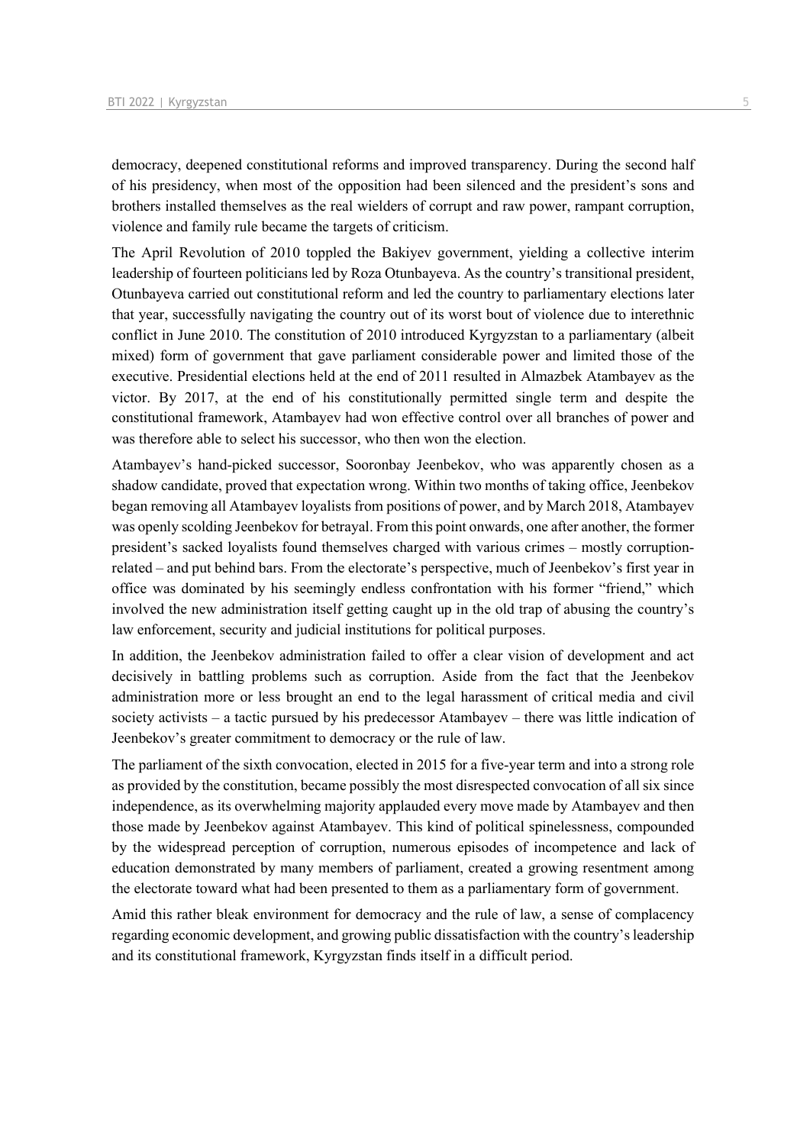democracy, deepened constitutional reforms and improved transparency. During the second half of his presidency, when most of the opposition had been silenced and the president's sons and brothers installed themselves as the real wielders of corrupt and raw power, rampant corruption, violence and family rule became the targets of criticism.

The April Revolution of 2010 toppled the Bakiyev government, yielding a collective interim leadership of fourteen politicians led by Roza Otunbayeva. As the country's transitional president, Otunbayeva carried out constitutional reform and led the country to parliamentary elections later that year, successfully navigating the country out of its worst bout of violence due to interethnic conflict in June 2010. The constitution of 2010 introduced Kyrgyzstan to a parliamentary (albeit mixed) form of government that gave parliament considerable power and limited those of the executive. Presidential elections held at the end of 2011 resulted in Almazbek Atambayev as the victor. By 2017, at the end of his constitutionally permitted single term and despite the constitutional framework, Atambayev had won effective control over all branches of power and was therefore able to select his successor, who then won the election.

Atambayev's hand-picked successor, Sooronbay Jeenbekov, who was apparently chosen as a shadow candidate, proved that expectation wrong. Within two months of taking office, Jeenbekov began removing all Atambayev loyalists from positions of power, and by March 2018, Atambayev was openly scolding Jeenbekov for betrayal. From this point onwards, one after another, the former president's sacked loyalists found themselves charged with various crimes – mostly corruptionrelated – and put behind bars. From the electorate's perspective, much of Jeenbekov's first year in office was dominated by his seemingly endless confrontation with his former "friend," which involved the new administration itself getting caught up in the old trap of abusing the country's law enforcement, security and judicial institutions for political purposes.

In addition, the Jeenbekov administration failed to offer a clear vision of development and act decisively in battling problems such as corruption. Aside from the fact that the Jeenbekov administration more or less brought an end to the legal harassment of critical media and civil society activists – a tactic pursued by his predecessor Atambayev – there was little indication of Jeenbekov's greater commitment to democracy or the rule of law.

The parliament of the sixth convocation, elected in 2015 for a five-year term and into a strong role as provided by the constitution, became possibly the most disrespected convocation of all six since independence, as its overwhelming majority applauded every move made by Atambayev and then those made by Jeenbekov against Atambayev. This kind of political spinelessness, compounded by the widespread perception of corruption, numerous episodes of incompetence and lack of education demonstrated by many members of parliament, created a growing resentment among the electorate toward what had been presented to them as a parliamentary form of government.

Amid this rather bleak environment for democracy and the rule of law, a sense of complacency regarding economic development, and growing public dissatisfaction with the country's leadership and its constitutional framework, Kyrgyzstan finds itself in a difficult period.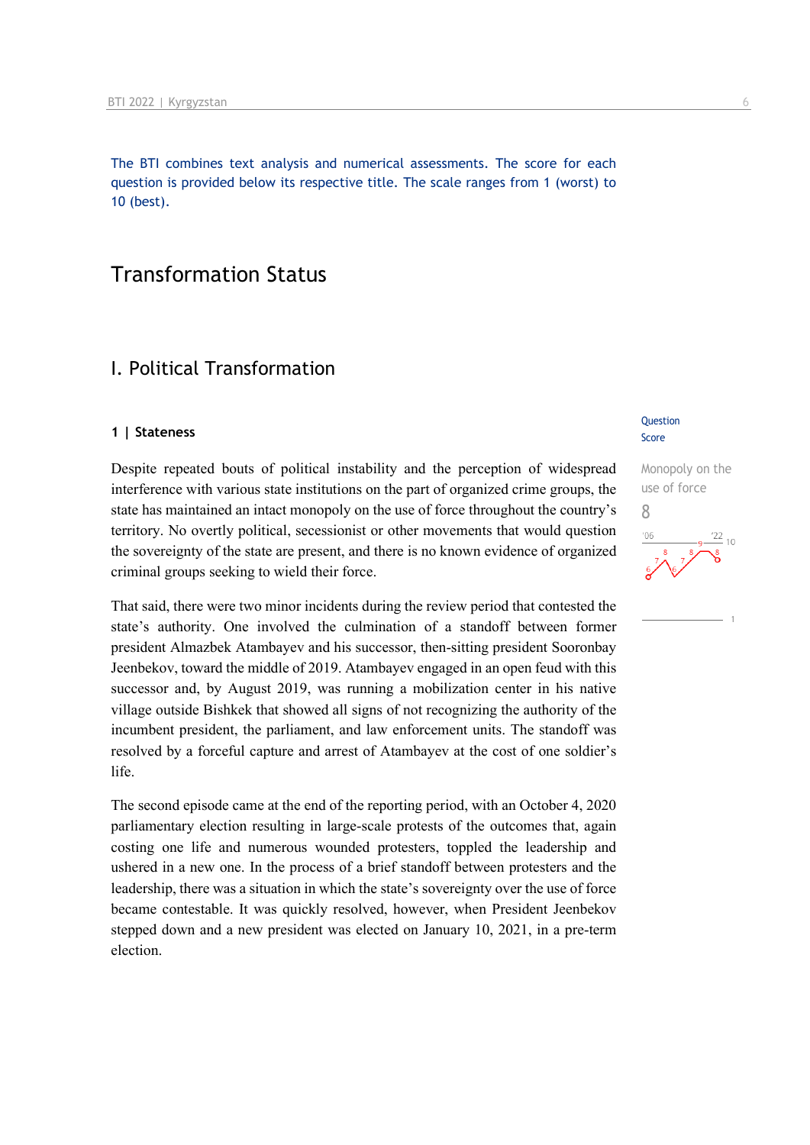The BTI combines text analysis and numerical assessments. The score for each question is provided below its respective title. The scale ranges from 1 (worst) to 10 (best).

# Transformation Status

# I. Political Transformation

#### **1 | Stateness**

Despite repeated bouts of political instability and the perception of widespread interference with various state institutions on the part of organized crime groups, the state has maintained an intact monopoly on the use of force throughout the country's territory. No overtly political, secessionist or other movements that would question the sovereignty of the state are present, and there is no known evidence of organized criminal groups seeking to wield their force.

That said, there were two minor incidents during the review period that contested the state's authority. One involved the culmination of a standoff between former president Almazbek Atambayev and his successor, then-sitting president Sooronbay Jeenbekov, toward the middle of 2019. Atambayev engaged in an open feud with this successor and, by August 2019, was running a mobilization center in his native village outside Bishkek that showed all signs of not recognizing the authority of the incumbent president, the parliament, and law enforcement units. The standoff was resolved by a forceful capture and arrest of Atambayev at the cost of one soldier's life.

The second episode came at the end of the reporting period, with an October 4, 2020 parliamentary election resulting in large-scale protests of the outcomes that, again costing one life and numerous wounded protesters, toppled the leadership and ushered in a new one. In the process of a brief standoff between protesters and the leadership, there was a situation in which the state's sovereignty over the use of force became contestable. It was quickly resolved, however, when President Jeenbekov stepped down and a new president was elected on January 10, 2021, in a pre-term election.

#### **Question** Score

Monopoly on the use of force 822  $10$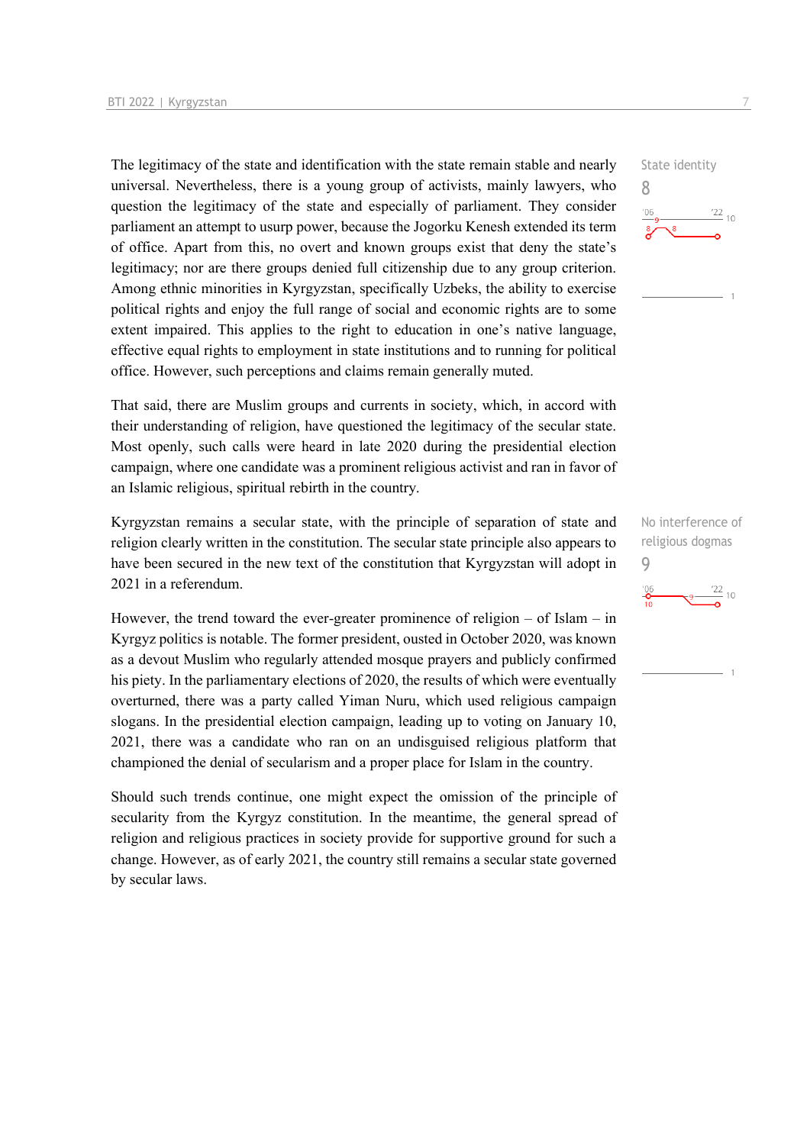The legitimacy of the state and identification with the state remain stable and nearly universal. Nevertheless, there is a young group of activists, mainly lawyers, who question the legitimacy of the state and especially of parliament. They consider parliament an attempt to usurp power, because the Jogorku Kenesh extended its term of office. Apart from this, no overt and known groups exist that deny the state's legitimacy; nor are there groups denied full citizenship due to any group criterion. Among ethnic minorities in Kyrgyzstan, specifically Uzbeks, the ability to exercise political rights and enjoy the full range of social and economic rights are to some extent impaired. This applies to the right to education in one's native language, effective equal rights to employment in state institutions and to running for political office. However, such perceptions and claims remain generally muted.

That said, there are Muslim groups and currents in society, which, in accord with their understanding of religion, have questioned the legitimacy of the secular state. Most openly, such calls were heard in late 2020 during the presidential election campaign, where one candidate was a prominent religious activist and ran in favor of an Islamic religious, spiritual rebirth in the country.

Kyrgyzstan remains a secular state, with the principle of separation of state and religion clearly written in the constitution. The secular state principle also appears to have been secured in the new text of the constitution that Kyrgyzstan will adopt in 2021 in a referendum.

However, the trend toward the ever-greater prominence of religion  $-$  of Islam  $-$  in Kyrgyz politics is notable. The former president, ousted in October 2020, was known as a devout Muslim who regularly attended mosque prayers and publicly confirmed his piety. In the parliamentary elections of 2020, the results of which were eventually overturned, there was a party called Yiman Nuru, which used religious campaign slogans. In the presidential election campaign, leading up to voting on January 10, 2021, there was a candidate who ran on an undisguised religious platform that championed the denial of secularism and a proper place for Islam in the country.

Should such trends continue, one might expect the omission of the principle of secularity from the Kyrgyz constitution. In the meantime, the general spread of religion and religious practices in society provide for supportive ground for such a change. However, as of early 2021, the country still remains a secular state governed by secular laws.



No interference of religious dogmas 9 $\frac{22}{10}$  10  $\frac{106}{10}$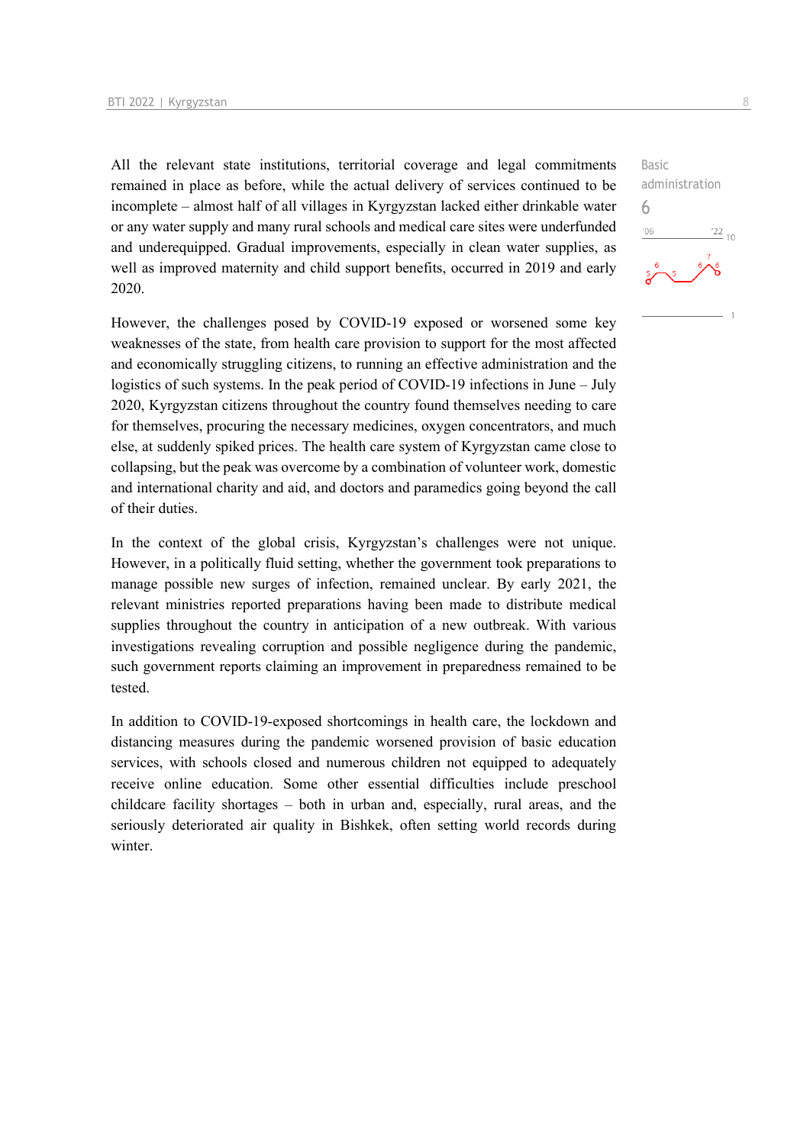All the relevant state institutions, territorial coverage and legal commitments remained in place as before, while the actual delivery of services continued to be incomplete – almost half of all villages in Kyrgyzstan lacked either drinkable water or any water supply and many rural schools and medical care sites were underfunded and underequipped. Gradual improvements, especially in clean water supplies, as well as improved maternity and child support benefits, occurred in 2019 and early 2020.

However, the challenges posed by COVID-19 exposed or worsened some key weaknesses of the state, from health care provision to support for the most affected and economically struggling citizens, to running an effective administration and the logistics of such systems. In the peak period of COVID-19 infections in June – July 2020, Kyrgyzstan citizens throughout the country found themselves needing to care for themselves, procuring the necessary medicines, oxygen concentrators, and much else, at suddenly spiked prices. The health care system of Kyrgyzstan came close to collapsing, but the peak was overcome by a combination of volunteer work, domestic and international charity and aid, and doctors and paramedics going beyond the call of their duties.

In the context of the global crisis, Kyrgyzstan's challenges were not unique. However, in a politically fluid setting, whether the government took preparations to manage possible new surges of infection, remained unclear. By early 2021, the relevant ministries reported preparations having been made to distribute medical supplies throughout the country in anticipation of a new outbreak. With various investigations revealing corruption and possible negligence during the pandemic, such government reports claiming an improvement in preparedness remained to be tested.

In addition to COVID-19-exposed shortcomings in health care, the lockdown and distancing measures during the pandemic worsened provision of basic education services, with schools closed and numerous children not equipped to adequately receive online education. Some other essential difficulties include preschool childcare facility shortages – both in urban and, especially, rural areas, and the seriously deteriorated air quality in Bishkek, often setting world records during winter.

Basic administration 6 $\frac{22}{10}$  $106$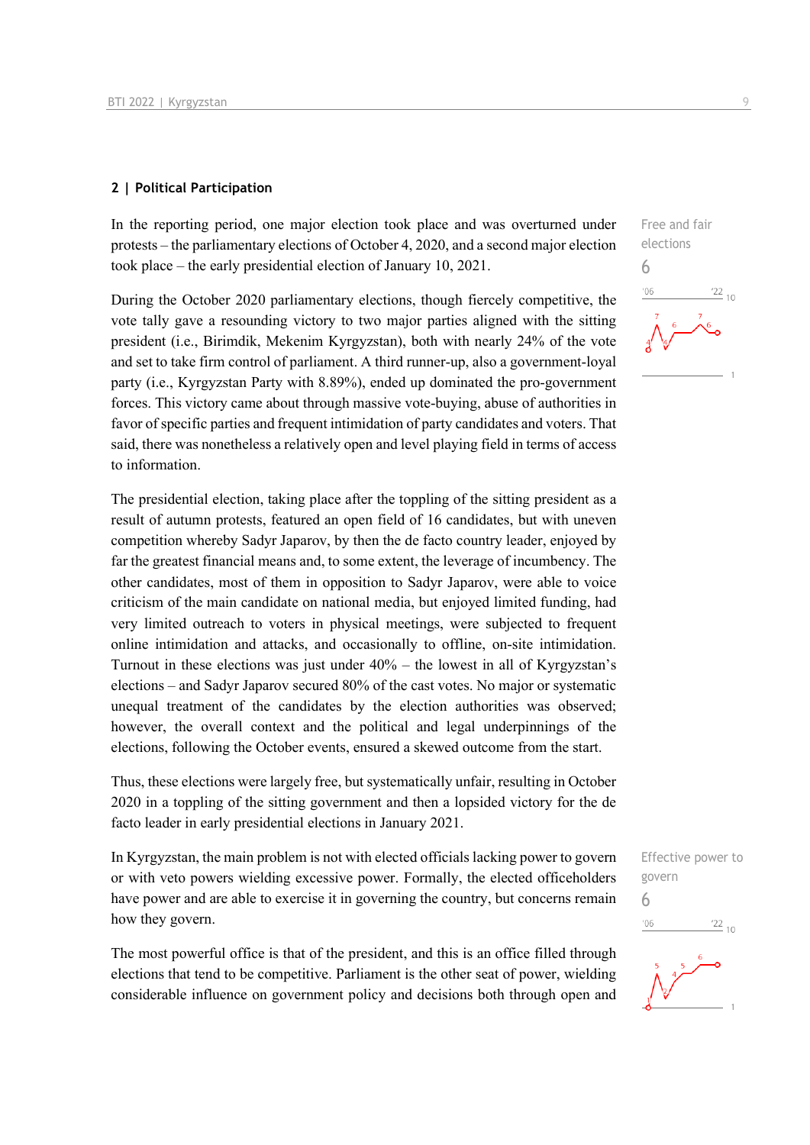#### **2 | Political Participation**

In the reporting period, one major election took place and was overturned under protests – the parliamentary elections of October 4, 2020, and a second major election took place – the early presidential election of January 10, 2021.

During the October 2020 parliamentary elections, though fiercely competitive, the vote tally gave a resounding victory to two major parties aligned with the sitting president (i.e., Birimdik, Mekenim Kyrgyzstan), both with nearly 24% of the vote and set to take firm control of parliament. A third runner-up, also a government-loyal party (i.e., Kyrgyzstan Party with 8.89%), ended up dominated the pro-government forces. This victory came about through massive vote-buying, abuse of authorities in favor of specific parties and frequent intimidation of party candidates and voters. That said, there was nonetheless a relatively open and level playing field in terms of access to information.

The presidential election, taking place after the toppling of the sitting president as a result of autumn protests, featured an open field of 16 candidates, but with uneven competition whereby Sadyr Japarov, by then the de facto country leader, enjoyed by far the greatest financial means and, to some extent, the leverage of incumbency. The other candidates, most of them in opposition to Sadyr Japarov, were able to voice criticism of the main candidate on national media, but enjoyed limited funding, had very limited outreach to voters in physical meetings, were subjected to frequent online intimidation and attacks, and occasionally to offline, on-site intimidation. Turnout in these elections was just under 40% – the lowest in all of Kyrgyzstan's elections – and Sadyr Japarov secured 80% of the cast votes. No major or systematic unequal treatment of the candidates by the election authorities was observed; however, the overall context and the political and legal underpinnings of the elections, following the October events, ensured a skewed outcome from the start.

Thus, these elections were largely free, but systematically unfair, resulting in October 2020 in a toppling of the sitting government and then a lopsided victory for the de facto leader in early presidential elections in January 2021.

In Kyrgyzstan, the main problem is not with elected officials lacking power to govern or with veto powers wielding excessive power. Formally, the elected officeholders have power and are able to exercise it in governing the country, but concerns remain how they govern.

The most powerful office is that of the president, and this is an office filled through elections that tend to be competitive. Parliament is the other seat of power, wielding considerable influence on government policy and decisions both through open and

Free and fair elections 6  $\frac{22}{10}$ 

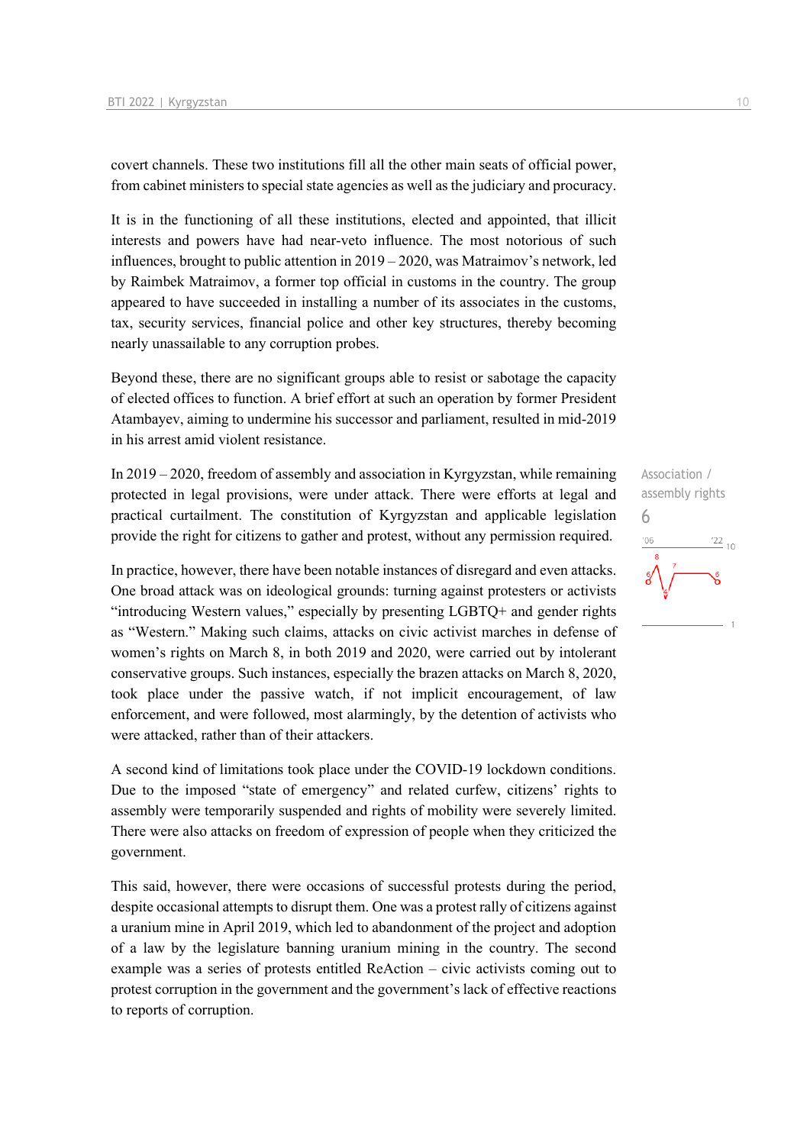covert channels. These two institutions fill all the other main seats of official power, from cabinet ministers to special state agencies as well as the judiciary and procuracy.

It is in the functioning of all these institutions, elected and appointed, that illicit interests and powers have had near-veto influence. The most notorious of such influences, brought to public attention in 2019 – 2020, was Matraimov's network, led by Raimbek Matraimov, a former top official in customs in the country. The group appeared to have succeeded in installing a number of its associates in the customs, tax, security services, financial police and other key structures, thereby becoming nearly unassailable to any corruption probes.

Beyond these, there are no significant groups able to resist or sabotage the capacity of elected offices to function. A brief effort at such an operation by former President Atambayev, aiming to undermine his successor and parliament, resulted in mid-2019 in his arrest amid violent resistance.

In 2019 – 2020, freedom of assembly and association in Kyrgyzstan, while remaining protected in legal provisions, were under attack. There were efforts at legal and practical curtailment. The constitution of Kyrgyzstan and applicable legislation provide the right for citizens to gather and protest, without any permission required.

In practice, however, there have been notable instances of disregard and even attacks. One broad attack was on ideological grounds: turning against protesters or activists "introducing Western values," especially by presenting LGBTQ+ and gender rights as "Western." Making such claims, attacks on civic activist marches in defense of women's rights on March 8, in both 2019 and 2020, were carried out by intolerant conservative groups. Such instances, especially the brazen attacks on March 8, 2020, took place under the passive watch, if not implicit encouragement, of law enforcement, and were followed, most alarmingly, by the detention of activists who were attacked, rather than of their attackers.

A second kind of limitations took place under the COVID-19 lockdown conditions. Due to the imposed "state of emergency" and related curfew, citizens' rights to assembly were temporarily suspended and rights of mobility were severely limited. There were also attacks on freedom of expression of people when they criticized the government.

This said, however, there were occasions of successful protests during the period, despite occasional attempts to disrupt them. One was a protest rally of citizens against a uranium mine in April 2019, which led to abandonment of the project and adoption of a law by the legislature banning uranium mining in the country. The second example was a series of protests entitled ReAction – civic activists coming out to protest corruption in the government and the government's lack of effective reactions to reports of corruption.

Association / assembly rights 6 $\frac{22}{10}$  $'06$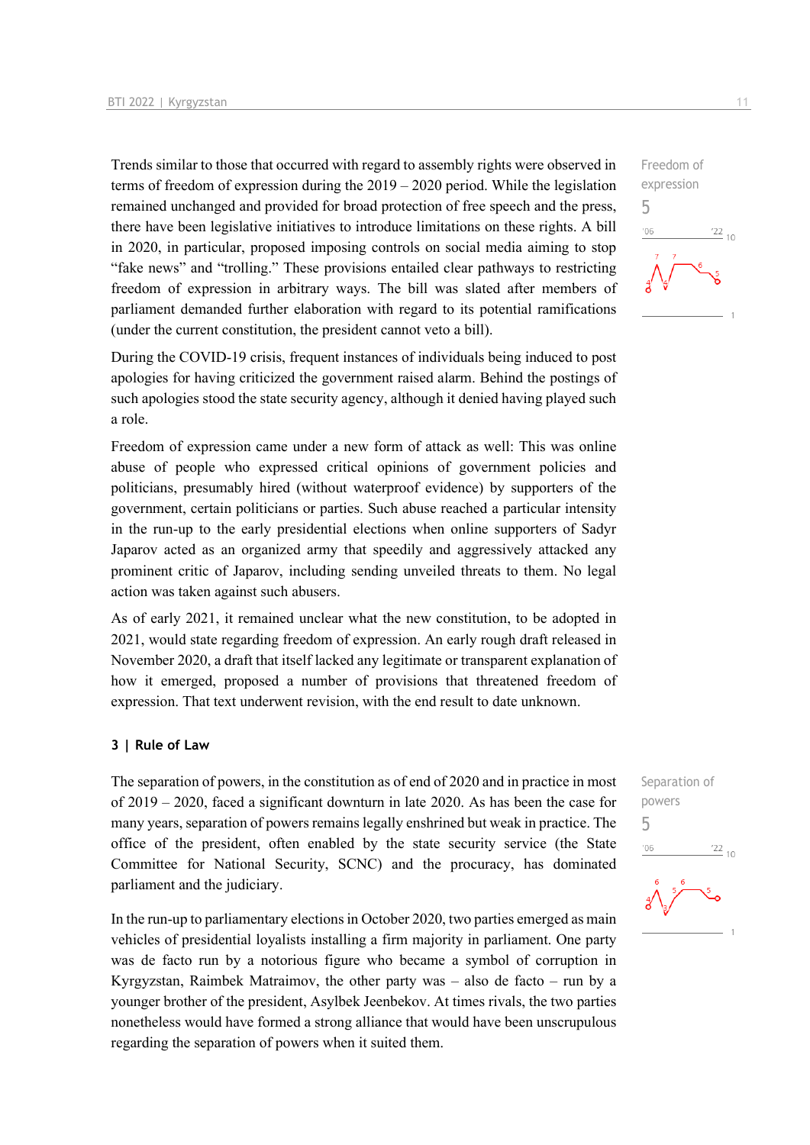Trends similar to those that occurred with regard to assembly rights were observed in terms of freedom of expression during the 2019 – 2020 period. While the legislation remained unchanged and provided for broad protection of free speech and the press, there have been legislative initiatives to introduce limitations on these rights. A bill in 2020, in particular, proposed imposing controls on social media aiming to stop "fake news" and "trolling." These provisions entailed clear pathways to restricting freedom of expression in arbitrary ways. The bill was slated after members of parliament demanded further elaboration with regard to its potential ramifications (under the current constitution, the president cannot veto a bill).

During the COVID-19 crisis, frequent instances of individuals being induced to post apologies for having criticized the government raised alarm. Behind the postings of such apologies stood the state security agency, although it denied having played such a role.

Freedom of expression came under a new form of attack as well: This was online abuse of people who expressed critical opinions of government policies and politicians, presumably hired (without waterproof evidence) by supporters of the government, certain politicians or parties. Such abuse reached a particular intensity in the run-up to the early presidential elections when online supporters of Sadyr Japarov acted as an organized army that speedily and aggressively attacked any prominent critic of Japarov, including sending unveiled threats to them. No legal action was taken against such abusers.

As of early 2021, it remained unclear what the new constitution, to be adopted in 2021, would state regarding freedom of expression. An early rough draft released in November 2020, a draft that itself lacked any legitimate or transparent explanation of how it emerged, proposed a number of provisions that threatened freedom of expression. That text underwent revision, with the end result to date unknown.

#### **3 | Rule of Law**

The separation of powers, in the constitution as of end of 2020 and in practice in most of 2019 – 2020, faced a significant downturn in late 2020. As has been the case for many years, separation of powers remains legally enshrined but weak in practice. The office of the president, often enabled by the state security service (the State Committee for National Security, SCNC) and the procuracy, has dominated parliament and the judiciary.

In the run-up to parliamentary elections in October 2020, two parties emerged as main vehicles of presidential loyalists installing a firm majority in parliament. One party was de facto run by a notorious figure who became a symbol of corruption in Kyrgyzstan, Raimbek Matraimov, the other party was – also de facto – run by a younger brother of the president, Asylbek Jeenbekov. At times rivals, the two parties nonetheless would have formed a strong alliance that would have been unscrupulous regarding the separation of powers when it suited them.



Separation of powers 5 $\frac{22}{10}$  $106$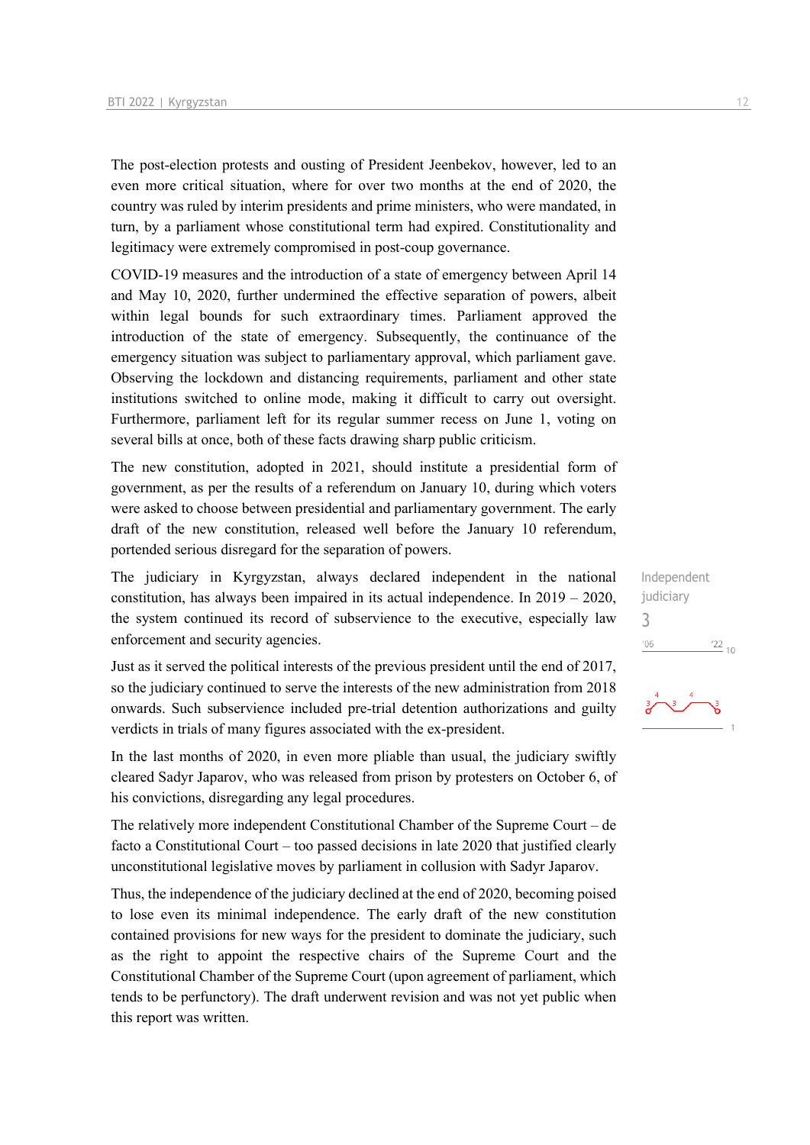The post-election protests and ousting of President Jeenbekov, however, led to an even more critical situation, where for over two months at the end of 2020, the country was ruled by interim presidents and prime ministers, who were mandated, in turn, by a parliament whose constitutional term had expired. Constitutionality and legitimacy were extremely compromised in post-coup governance.

COVID-19 measures and the introduction of a state of emergency between April 14 and May 10, 2020, further undermined the effective separation of powers, albeit within legal bounds for such extraordinary times. Parliament approved the introduction of the state of emergency. Subsequently, the continuance of the emergency situation was subject to parliamentary approval, which parliament gave. Observing the lockdown and distancing requirements, parliament and other state institutions switched to online mode, making it difficult to carry out oversight. Furthermore, parliament left for its regular summer recess on June 1, voting on several bills at once, both of these facts drawing sharp public criticism.

The new constitution, adopted in 2021, should institute a presidential form of government, as per the results of a referendum on January 10, during which voters were asked to choose between presidential and parliamentary government. The early draft of the new constitution, released well before the January 10 referendum, portended serious disregard for the separation of powers.

The judiciary in Kyrgyzstan, always declared independent in the national constitution, has always been impaired in its actual independence. In 2019 – 2020, the system continued its record of subservience to the executive, especially law enforcement and security agencies.

Just as it served the political interests of the previous president until the end of 2017, so the judiciary continued to serve the interests of the new administration from 2018 onwards. Such subservience included pre-trial detention authorizations and guilty verdicts in trials of many figures associated with the ex-president.

In the last months of 2020, in even more pliable than usual, the judiciary swiftly cleared Sadyr Japarov, who was released from prison by protesters on October 6, of his convictions, disregarding any legal procedures.

The relatively more independent Constitutional Chamber of the Supreme Court – de facto a Constitutional Court – too passed decisions in late 2020 that justified clearly unconstitutional legislative moves by parliament in collusion with Sadyr Japarov.

Thus, the independence of the judiciary declined at the end of 2020, becoming poised to lose even its minimal independence. The early draft of the new constitution contained provisions for new ways for the president to dominate the judiciary, such as the right to appoint the respective chairs of the Supreme Court and the Constitutional Chamber of the Supreme Court (upon agreement of parliament, which tends to be perfunctory). The draft underwent revision and was not yet public when this report was written.

Independent judiciary 3 $\frac{22}{10}$  $106$ 

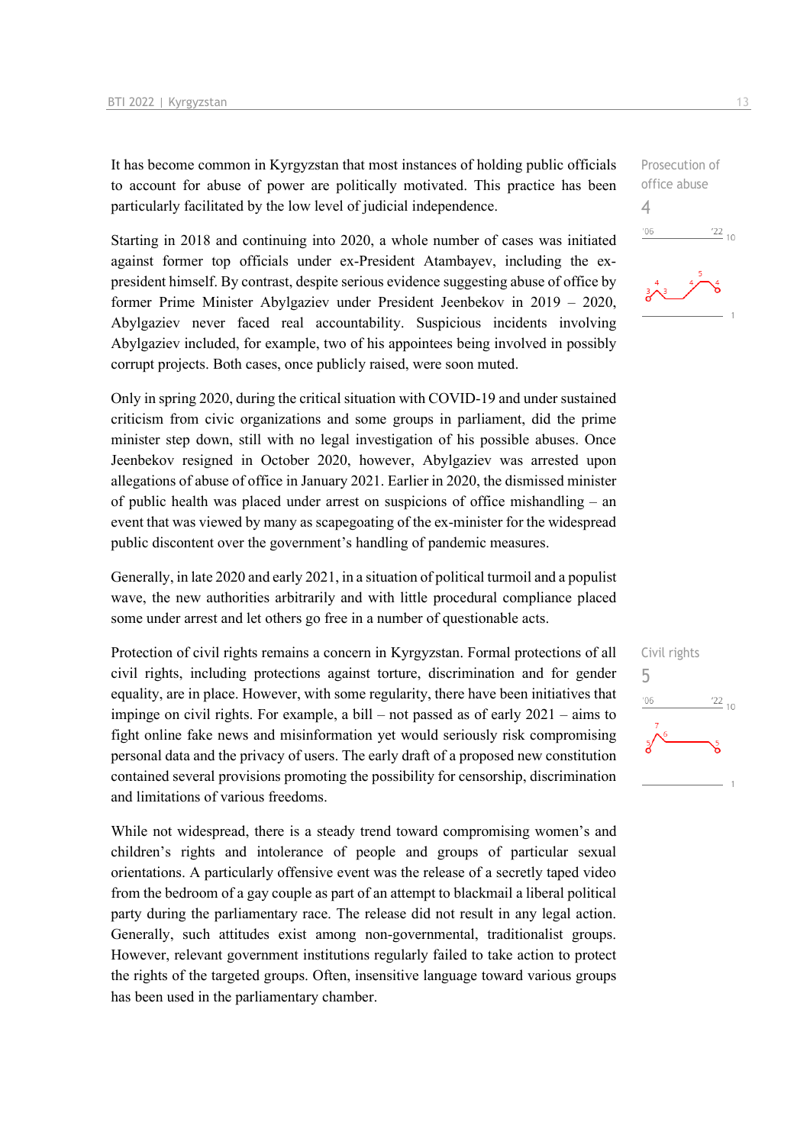It has become common in Kyrgyzstan that most instances of holding public officials to account for abuse of power are politically motivated. This practice has been particularly facilitated by the low level of judicial independence.

Starting in 2018 and continuing into 2020, a whole number of cases was initiated against former top officials under ex-President Atambayev, including the expresident himself. By contrast, despite serious evidence suggesting abuse of office by former Prime Minister Abylgaziev under President Jeenbekov in 2019 – 2020, Abylgaziev never faced real accountability. Suspicious incidents involving Abylgaziev included, for example, two of his appointees being involved in possibly corrupt projects. Both cases, once publicly raised, were soon muted.

Only in spring 2020, during the critical situation with COVID-19 and under sustained criticism from civic organizations and some groups in parliament, did the prime minister step down, still with no legal investigation of his possible abuses. Once Jeenbekov resigned in October 2020, however, Abylgaziev was arrested upon allegations of abuse of office in January 2021. Earlier in 2020, the dismissed minister of public health was placed under arrest on suspicions of office mishandling – an event that was viewed by many as scapegoating of the ex-minister for the widespread public discontent over the government's handling of pandemic measures.

Generally, in late 2020 and early 2021, in a situation of political turmoil and a populist wave, the new authorities arbitrarily and with little procedural compliance placed some under arrest and let others go free in a number of questionable acts.

Protection of civil rights remains a concern in Kyrgyzstan. Formal protections of all civil rights, including protections against torture, discrimination and for gender equality, are in place. However, with some regularity, there have been initiatives that impinge on civil rights. For example, a bill – not passed as of early 2021 – aims to fight online fake news and misinformation yet would seriously risk compromising personal data and the privacy of users. The early draft of a proposed new constitution contained several provisions promoting the possibility for censorship, discrimination and limitations of various freedoms.

While not widespread, there is a steady trend toward compromising women's and children's rights and intolerance of people and groups of particular sexual orientations. A particularly offensive event was the release of a secretly taped video from the bedroom of a gay couple as part of an attempt to blackmail a liberal political party during the parliamentary race. The release did not result in any legal action. Generally, such attitudes exist among non-governmental, traditionalist groups. However, relevant government institutions regularly failed to take action to protect the rights of the targeted groups. Often, insensitive language toward various groups has been used in the parliamentary chamber.



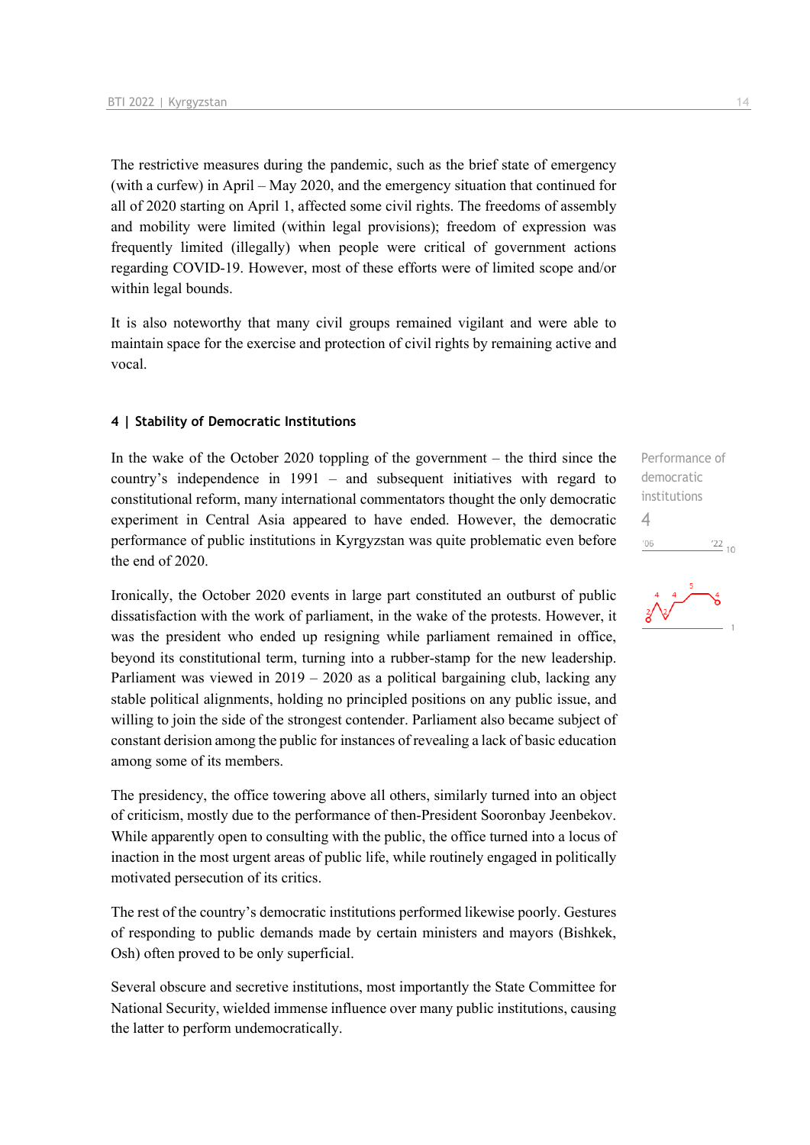The restrictive measures during the pandemic, such as the brief state of emergency (with a curfew) in April – May 2020, and the emergency situation that continued for all of 2020 starting on April 1, affected some civil rights. The freedoms of assembly and mobility were limited (within legal provisions); freedom of expression was frequently limited (illegally) when people were critical of government actions regarding COVID-19. However, most of these efforts were of limited scope and/or within legal bounds.

It is also noteworthy that many civil groups remained vigilant and were able to maintain space for the exercise and protection of civil rights by remaining active and vocal.

#### **4 | Stability of Democratic Institutions**

In the wake of the October 2020 toppling of the government  $-$  the third since the country's independence in 1991 – and subsequent initiatives with regard to constitutional reform, many international commentators thought the only democratic experiment in Central Asia appeared to have ended. However, the democratic performance of public institutions in Kyrgyzstan was quite problematic even before the end of 2020.

Ironically, the October 2020 events in large part constituted an outburst of public dissatisfaction with the work of parliament, in the wake of the protests. However, it was the president who ended up resigning while parliament remained in office, beyond its constitutional term, turning into a rubber-stamp for the new leadership. Parliament was viewed in  $2019 - 2020$  as a political bargaining club, lacking any stable political alignments, holding no principled positions on any public issue, and willing to join the side of the strongest contender. Parliament also became subject of constant derision among the public for instances of revealing a lack of basic education among some of its members.

The presidency, the office towering above all others, similarly turned into an object of criticism, mostly due to the performance of then-President Sooronbay Jeenbekov. While apparently open to consulting with the public, the office turned into a locus of inaction in the most urgent areas of public life, while routinely engaged in politically motivated persecution of its critics.

The rest of the country's democratic institutions performed likewise poorly. Gestures of responding to public demands made by certain ministers and mayors (Bishkek, Osh) often proved to be only superficial.

Several obscure and secretive institutions, most importantly the State Committee for National Security, wielded immense influence over many public institutions, causing the latter to perform undemocratically.

Performance of democratic institutions 4 $^{\prime}06$  $\frac{22}{10}$ 

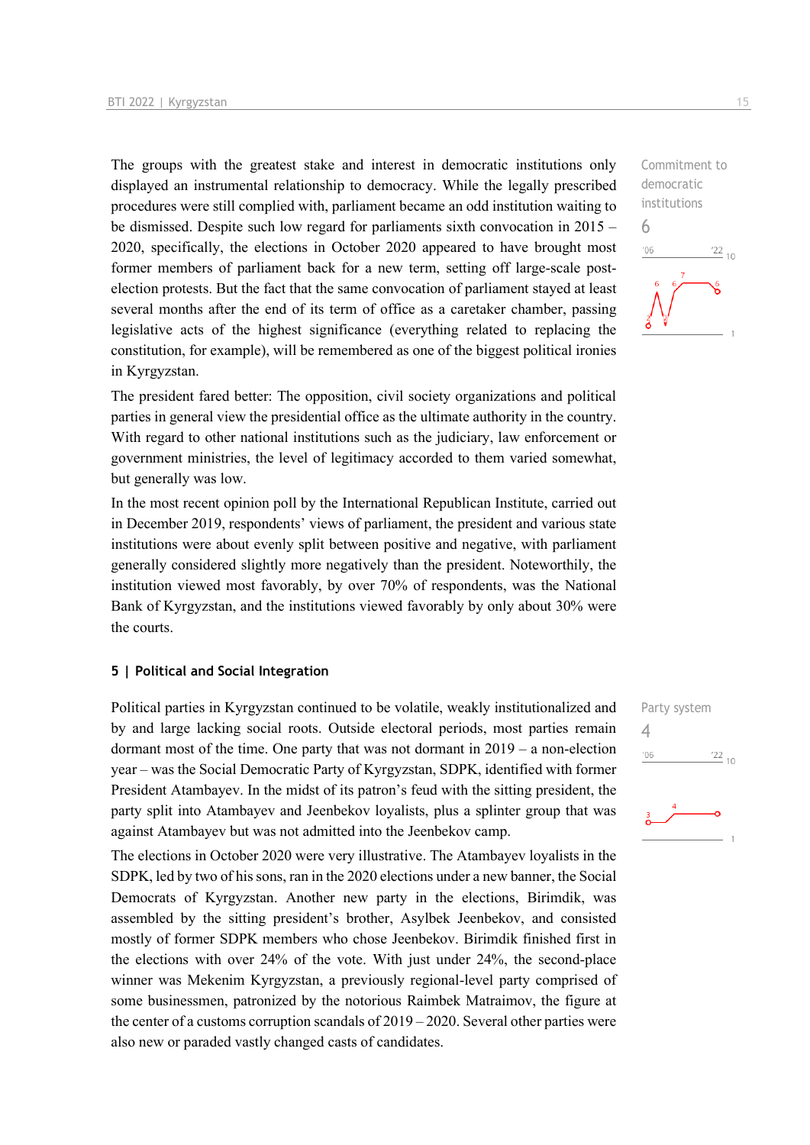The groups with the greatest stake and interest in democratic institutions only displayed an instrumental relationship to democracy. While the legally prescribed procedures were still complied with, parliament became an odd institution waiting to be dismissed. Despite such low regard for parliaments sixth convocation in 2015 – 2020, specifically, the elections in October 2020 appeared to have brought most former members of parliament back for a new term, setting off large-scale postelection protests. But the fact that the same convocation of parliament stayed at least several months after the end of its term of office as a caretaker chamber, passing legislative acts of the highest significance (everything related to replacing the constitution, for example), will be remembered as one of the biggest political ironies in Kyrgyzstan.

The president fared better: The opposition, civil society organizations and political parties in general view the presidential office as the ultimate authority in the country. With regard to other national institutions such as the judiciary, law enforcement or government ministries, the level of legitimacy accorded to them varied somewhat, but generally was low.

In the most recent opinion poll by the International Republican Institute, carried out in December 2019, respondents' views of parliament, the president and various state institutions were about evenly split between positive and negative, with parliament generally considered slightly more negatively than the president. Noteworthily, the institution viewed most favorably, by over 70% of respondents, was the National Bank of Kyrgyzstan, and the institutions viewed favorably by only about 30% were the courts.

#### **5 | Political and Social Integration**

Political parties in Kyrgyzstan continued to be volatile, weakly institutionalized and by and large lacking social roots. Outside electoral periods, most parties remain dormant most of the time. One party that was not dormant in 2019 – a non-election year – was the Social Democratic Party of Kyrgyzstan, SDPK, identified with former President Atambayev. In the midst of its patron's feud with the sitting president, the party split into Atambayev and Jeenbekov loyalists, plus a splinter group that was against Atambayev but was not admitted into the Jeenbekov camp.

The elections in October 2020 were very illustrative. The Atambayev loyalists in the SDPK, led by two of his sons, ran in the 2020 elections under a new banner, the Social Democrats of Kyrgyzstan. Another new party in the elections, Birimdik, was assembled by the sitting president's brother, Asylbek Jeenbekov, and consisted mostly of former SDPK members who chose Jeenbekov. Birimdik finished first in the elections with over 24% of the vote. With just under 24%, the second-place winner was Mekenim Kyrgyzstan, a previously regional-level party comprised of some businessmen, patronized by the notorious Raimbek Matraimov, the figure at the center of a customs corruption scandals of  $2019 - 2020$ . Several other parties were also new or paraded vastly changed casts of candidates.

Commitment to democratic institutions 6  $-06$  $\frac{22}{10}$ 

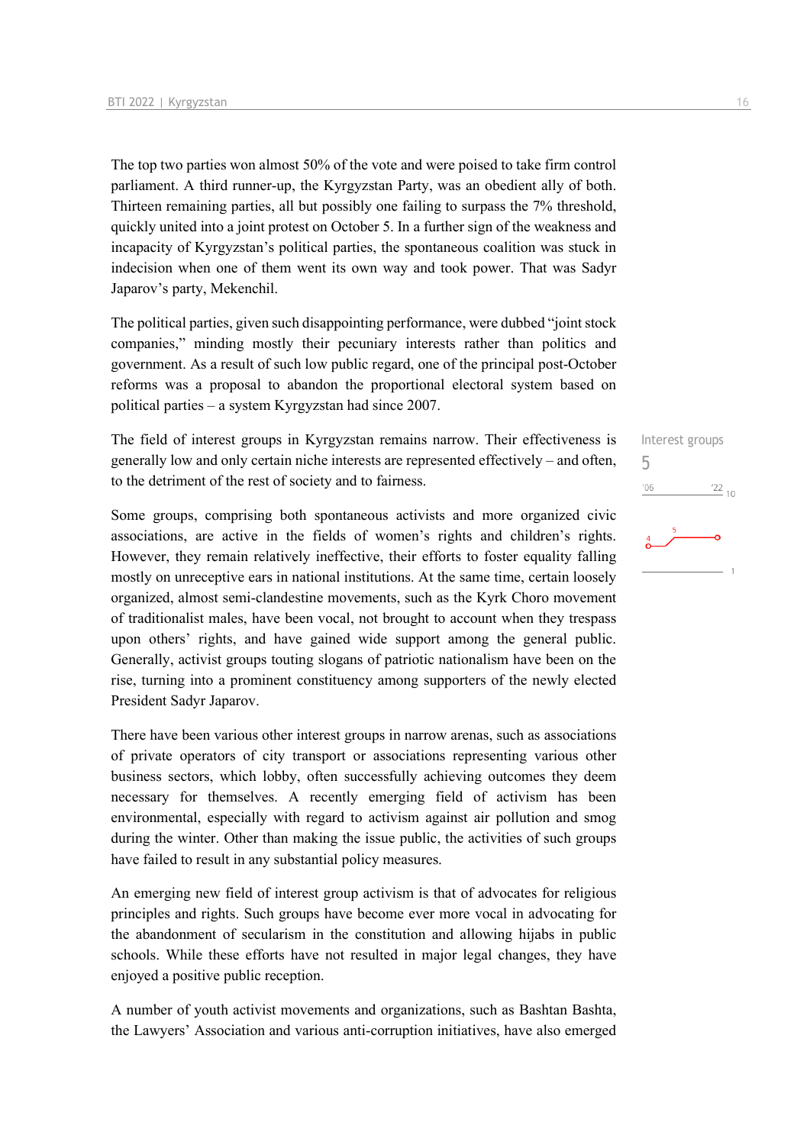The top two parties won almost 50% of the vote and were poised to take firm control parliament. A third runner-up, the Kyrgyzstan Party, was an obedient ally of both. Thirteen remaining parties, all but possibly one failing to surpass the 7% threshold, quickly united into a joint protest on October 5. In a further sign of the weakness and incapacity of Kyrgyzstan's political parties, the spontaneous coalition was stuck in indecision when one of them went its own way and took power. That was Sadyr Japarov's party, Mekenchil.

The political parties, given such disappointing performance, were dubbed "joint stock companies," minding mostly their pecuniary interests rather than politics and government. As a result of such low public regard, one of the principal post-October reforms was a proposal to abandon the proportional electoral system based on political parties – a system Kyrgyzstan had since 2007.

The field of interest groups in Kyrgyzstan remains narrow. Their effectiveness is generally low and only certain niche interests are represented effectively – and often, to the detriment of the rest of society and to fairness.

Some groups, comprising both spontaneous activists and more organized civic associations, are active in the fields of women's rights and children's rights. However, they remain relatively ineffective, their efforts to foster equality falling mostly on unreceptive ears in national institutions. At the same time, certain loosely organized, almost semi-clandestine movements, such as the Kyrk Choro movement of traditionalist males, have been vocal, not brought to account when they trespass upon others' rights, and have gained wide support among the general public. Generally, activist groups touting slogans of patriotic nationalism have been on the rise, turning into a prominent constituency among supporters of the newly elected President Sadyr Japarov.

There have been various other interest groups in narrow arenas, such as associations of private operators of city transport or associations representing various other business sectors, which lobby, often successfully achieving outcomes they deem necessary for themselves. A recently emerging field of activism has been environmental, especially with regard to activism against air pollution and smog during the winter. Other than making the issue public, the activities of such groups have failed to result in any substantial policy measures.

An emerging new field of interest group activism is that of advocates for religious principles and rights. Such groups have become ever more vocal in advocating for the abandonment of secularism in the constitution and allowing hijabs in public schools. While these efforts have not resulted in major legal changes, they have enjoyed a positive public reception.

A number of youth activist movements and organizations, such as Bashtan Bashta, the Lawyers' Association and various anti-corruption initiatives, have also emerged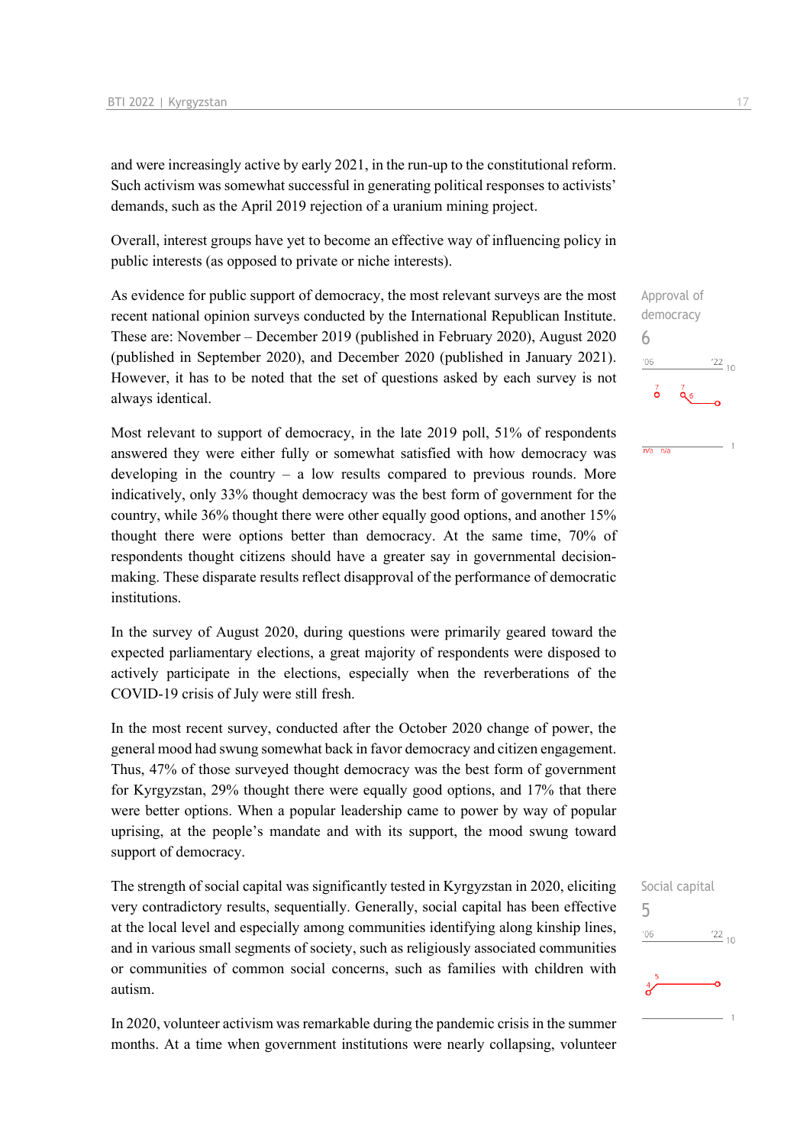and were increasingly active by early 2021, in the run-up to the constitutional reform. Such activism was somewhat successful in generating political responses to activists' demands, such as the April 2019 rejection of a uranium mining project.

Overall, interest groups have yet to become an effective way of influencing policy in public interests (as opposed to private or niche interests).

As evidence for public support of democracy, the most relevant surveys are the most recent national opinion surveys conducted by the International Republican Institute. These are: November – December 2019 (published in February 2020), August 2020 (published in September 2020), and December 2020 (published in January 2021). However, it has to be noted that the set of questions asked by each survey is not always identical.

Most relevant to support of democracy, in the late 2019 poll, 51% of respondents answered they were either fully or somewhat satisfied with how democracy was developing in the country – a low results compared to previous rounds. More indicatively, only 33% thought democracy was the best form of government for the country, while 36% thought there were other equally good options, and another 15% thought there were options better than democracy. At the same time, 70% of respondents thought citizens should have a greater say in governmental decisionmaking. These disparate results reflect disapproval of the performance of democratic institutions.

In the survey of August 2020, during questions were primarily geared toward the expected parliamentary elections, a great majority of respondents were disposed to actively participate in the elections, especially when the reverberations of the COVID-19 crisis of July were still fresh.

In the most recent survey, conducted after the October 2020 change of power, the general mood had swung somewhat back in favor democracy and citizen engagement. Thus, 47% of those surveyed thought democracy was the best form of government for Kyrgyzstan, 29% thought there were equally good options, and 17% that there were better options. When a popular leadership came to power by way of popular uprising, at the people's mandate and with its support, the mood swung toward support of democracy.

The strength of social capital was significantly tested in Kyrgyzstan in 2020, eliciting very contradictory results, sequentially. Generally, social capital has been effective at the local level and especially among communities identifying along kinship lines, and in various small segments of society, such as religiously associated communities or communities of common social concerns, such as families with children with autism.

In 2020, volunteer activism was remarkable during the pandemic crisis in the summer months. At a time when government institutions were nearly collapsing, volunteer

Approval of democracy 6  $^{\prime}06$  $\frac{22}{10}$  $\overline{\mathbf{0}}$  $Q_6$ 

 $n/a$   $n/a$ 

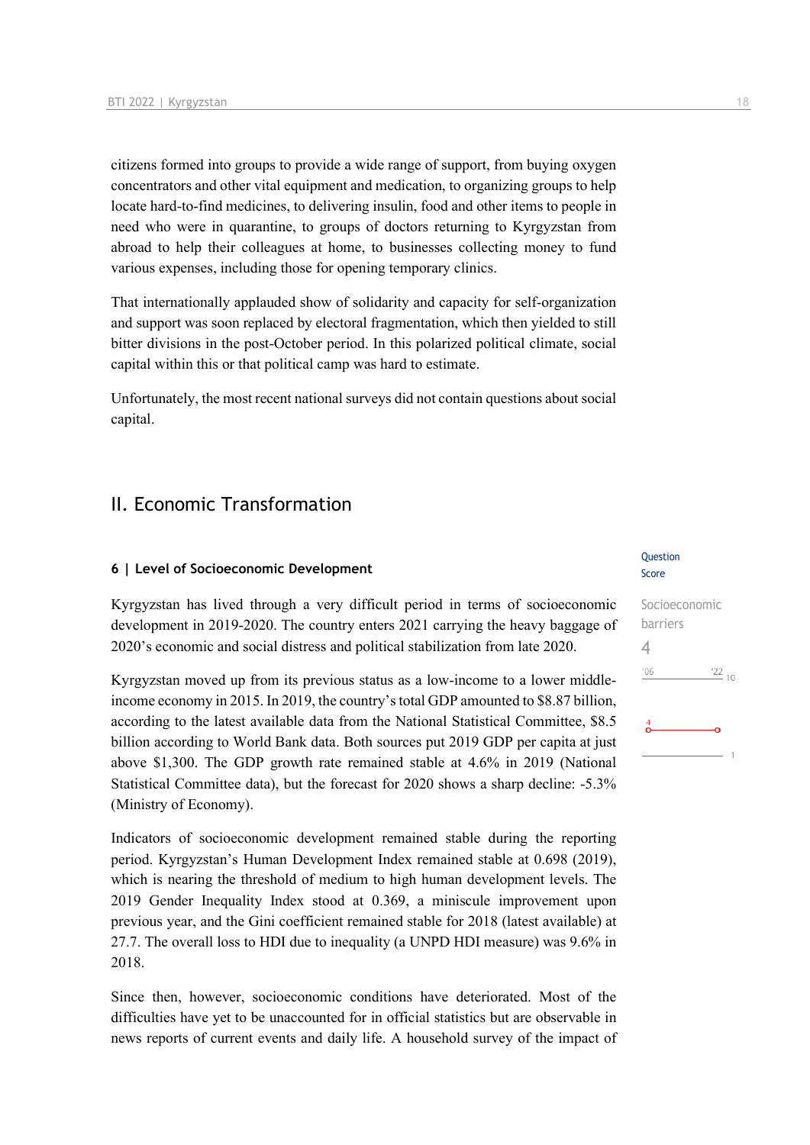citizens formed into groups to provide a wide range of support, from buying oxygen concentrators and other vital equipment and medication, to organizing groups to help locate hard-to-find medicines, to delivering insulin, food and other items to people in need who were in quarantine, to groups of doctors returning to Kyrgyzstan from abroad to help their colleagues at home, to businesses collecting money to fund various expenses, including those for opening temporary clinics.

That internationally applauded show of solidarity and capacity for self-organization and support was soon replaced by electoral fragmentation, which then yielded to still bitter divisions in the post-October period. In this polarized political climate, social capital within this or that political camp was hard to estimate.

Unfortunately, the most recent national surveys did not contain questions about social capital.

# II. Economic Transformation

#### **6 | Level of Socioeconomic Development**

Kyrgyzstan has lived through a very difficult period in terms of socioeconomic development in 2019-2020. The country enters 2021 carrying the heavy baggage of 2020's economic and social distress and political stabilization from late 2020.

Kyrgyzstan moved up from its previous status as a low-income to a lower middleincome economy in 2015. In 2019, the country's total GDP amounted to \$8.87 billion, according to the latest available data from the National Statistical Committee, \$8.5 billion according to World Bank data. Both sources put 2019 GDP per capita at just above \$1,300. The GDP growth rate remained stable at 4.6% in 2019 (National Statistical Committee data), but the forecast for 2020 shows a sharp decline: -5.3% (Ministry of Economy).

Indicators of socioeconomic development remained stable during the reporting period. Kyrgyzstan's Human Development Index remained stable at 0.698 (2019), which is nearing the threshold of medium to high human development levels. The 2019 Gender Inequality Index stood at 0.369, a miniscule improvement upon previous year, and the Gini coefficient remained stable for 2018 (latest available) at 27.7. The overall loss to HDI due to inequality (a UNPD HDI measure) was 9.6% in 2018.

Since then, however, socioeconomic conditions have deteriorated. Most of the difficulties have yet to be unaccounted for in official statistics but are observable in news reports of current events and daily life. A household survey of the impact of

#### Question Score

# Socioeconomic barriers 4 $^{\prime}06$  $122_{10}$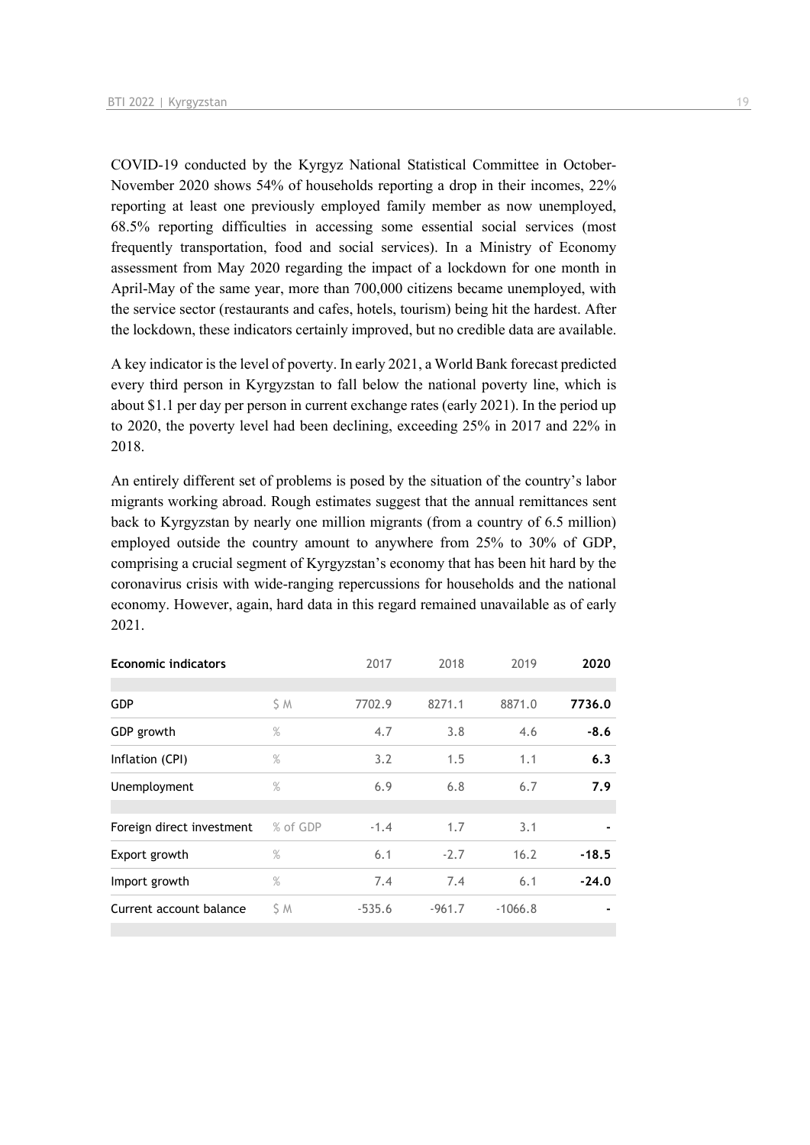COVID-19 conducted by the Kyrgyz National Statistical Committee in October-November 2020 shows 54% of households reporting a drop in their incomes, 22% reporting at least one previously employed family member as now unemployed, 68.5% reporting difficulties in accessing some essential social services (most frequently transportation, food and social services). In a Ministry of Economy assessment from May 2020 regarding the impact of a lockdown for one month in April-May of the same year, more than 700,000 citizens became unemployed, with the service sector (restaurants and cafes, hotels, tourism) being hit the hardest. After the lockdown, these indicators certainly improved, but no credible data are available.

A key indicator is the level of poverty. In early 2021, a World Bank forecast predicted every third person in Kyrgyzstan to fall below the national poverty line, which is about \$1.1 per day per person in current exchange rates (early 2021). In the period up to 2020, the poverty level had been declining, exceeding 25% in 2017 and 22% in 2018.

An entirely different set of problems is posed by the situation of the country's labor migrants working abroad. Rough estimates suggest that the annual remittances sent back to Kyrgyzstan by nearly one million migrants (from a country of 6.5 million) employed outside the country amount to anywhere from 25% to 30% of GDP, comprising a crucial segment of Kyrgyzstan's economy that has been hit hard by the coronavirus crisis with wide-ranging repercussions for households and the national economy. However, again, hard data in this regard remained unavailable as of early 2021.

| <b>Economic indicators</b> |          | 2017     | 2018     | 2019      | 2020    |
|----------------------------|----------|----------|----------|-----------|---------|
|                            |          |          |          |           |         |
| <b>GDP</b>                 | S M      | 7702.9   | 8271.1   | 8871.0    | 7736.0  |
| GDP growth                 | $\%$     | 4.7      | 3.8      | 4.6       | $-8.6$  |
| Inflation (CPI)            | $\%$     | 3.2      | 1.5      | 1.1       | 6.3     |
| Unemployment               | $\%$     | 6.9      | 6.8      | 6.7       | 7.9     |
|                            |          |          |          |           |         |
| Foreign direct investment  | % of GDP | $-1.4$   | 1.7      | 3.1       |         |
| Export growth              | %        | 6.1      | $-2.7$   | 16.2      | $-18.5$ |
| Import growth              | $\%$     | 7.4      | 7.4      | 6.1       | $-24.0$ |
| Current account balance    | S M      | $-535.6$ | $-961.7$ | $-1066.8$ |         |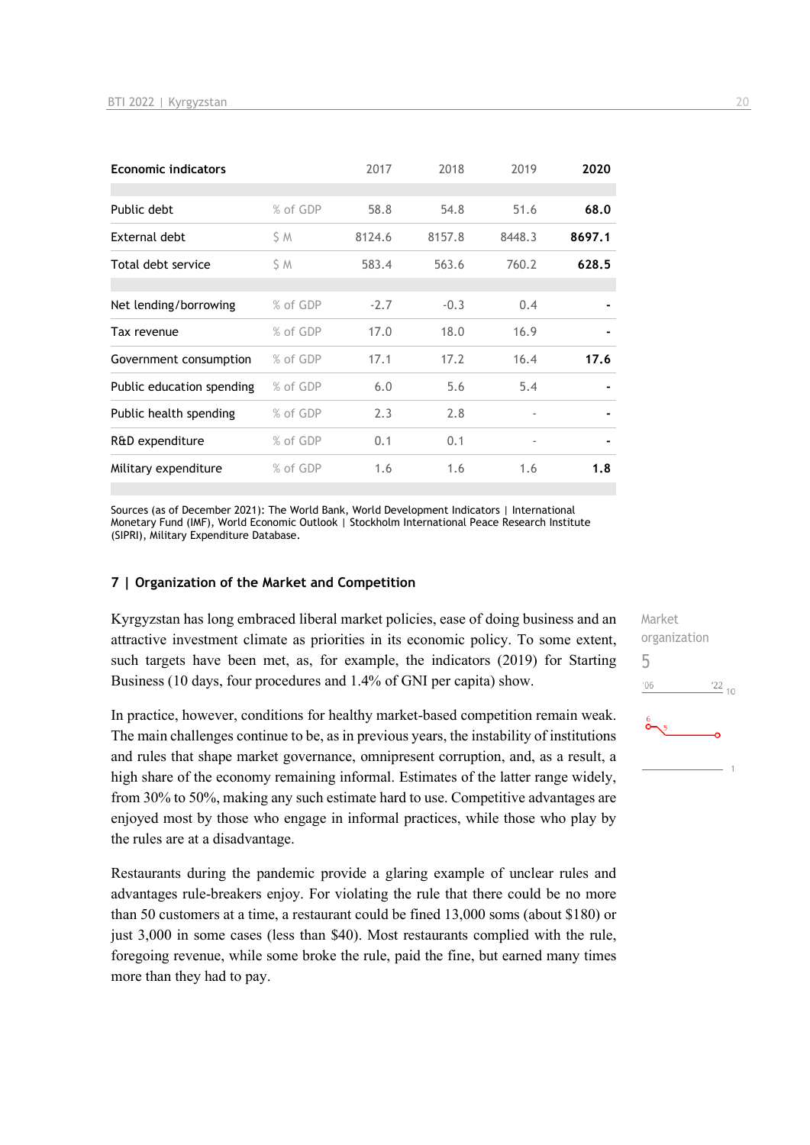| <b>Economic indicators</b> |          | 2017   | 2018   | 2019                     | 2020   |
|----------------------------|----------|--------|--------|--------------------------|--------|
|                            |          |        |        |                          |        |
| Public debt                | % of GDP | 58.8   | 54.8   | 51.6                     | 68.0   |
| External debt              | S M      | 8124.6 | 8157.8 | 8448.3                   | 8697.1 |
| Total debt service         | S M      | 583.4  | 563.6  | 760.2                    | 628.5  |
|                            |          |        |        |                          |        |
| Net lending/borrowing      | % of GDP | $-2.7$ | $-0.3$ | 0.4                      |        |
| Tax revenue                | % of GDP | 17.0   | 18.0   | 16.9                     |        |
| Government consumption     | % of GDP | 17.1   | 17.2   | 16.4                     | 17.6   |
| Public education spending  | % of GDP | 6.0    | 5.6    | 5.4                      |        |
| Public health spending     | % of GDP | 2.3    | 2.8    | $\overline{\phantom{a}}$ |        |
| R&D expenditure            | % of GDP | 0.1    | 0.1    | $\overline{\phantom{a}}$ |        |
| Military expenditure       | % of GDP | 1.6    | 1.6    | 1.6                      | 1.8    |

Sources (as of December 2021): The World Bank, World Development Indicators | International Monetary Fund (IMF), World Economic Outlook | Stockholm International Peace Research Institute (SIPRI), Military Expenditure Database.

#### **7 | Organization of the Market and Competition**

Kyrgyzstan has long embraced liberal market policies, ease of doing business and an attractive investment climate as priorities in its economic policy. To some extent, such targets have been met, as, for example, the indicators (2019) for Starting Business (10 days, four procedures and 1.4% of GNI per capita) show.

In practice, however, conditions for healthy market-based competition remain weak. The main challenges continue to be, as in previous years, the instability of institutions and rules that shape market governance, omnipresent corruption, and, as a result, a high share of the economy remaining informal. Estimates of the latter range widely, from 30% to 50%, making any such estimate hard to use. Competitive advantages are enjoyed most by those who engage in informal practices, while those who play by the rules are at a disadvantage.

Restaurants during the pandemic provide a glaring example of unclear rules and advantages rule-breakers enjoy. For violating the rule that there could be no more than 50 customers at a time, a restaurant could be fined 13,000 soms (about \$180) or just 3,000 in some cases (less than \$40). Most restaurants complied with the rule, foregoing revenue, while some broke the rule, paid the fine, but earned many times more than they had to pay.

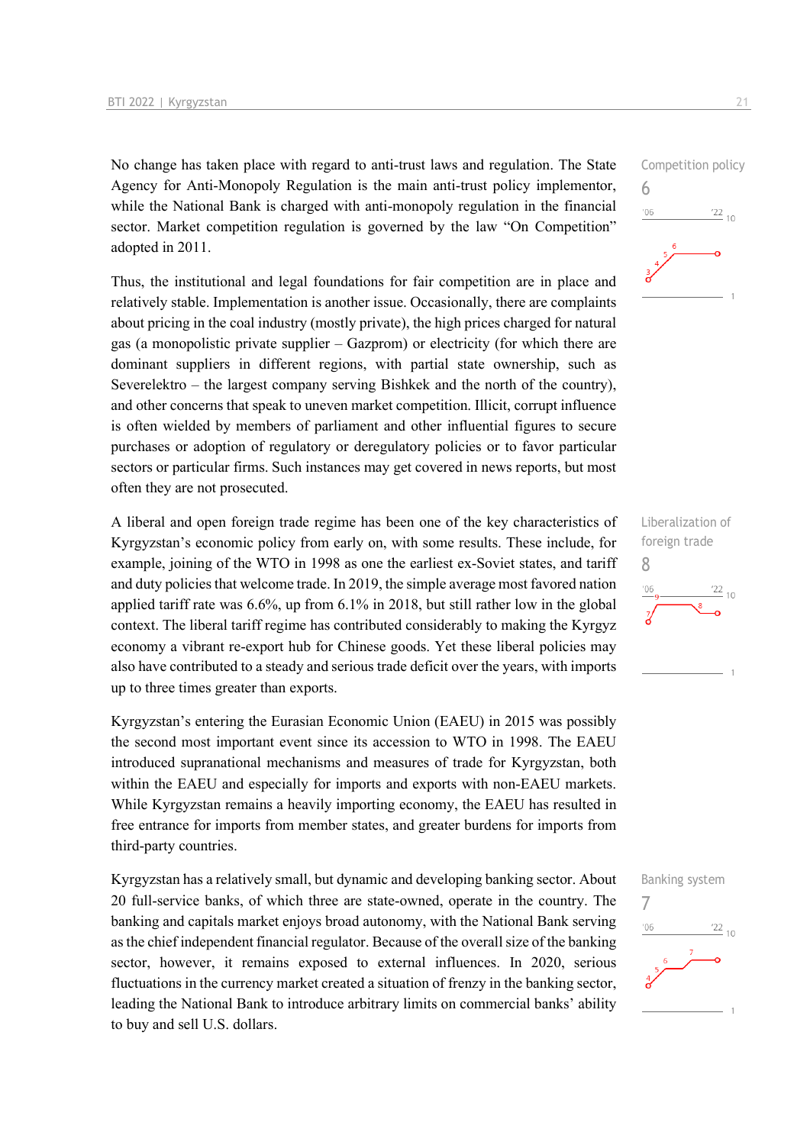No change has taken place with regard to anti-trust laws and regulation. The State Agency for Anti-Monopoly Regulation is the main anti-trust policy implementor, while the National Bank is charged with anti-monopoly regulation in the financial sector. Market competition regulation is governed by the law "On Competition" adopted in 2011.

Thus, the institutional and legal foundations for fair competition are in place and relatively stable. Implementation is another issue. Occasionally, there are complaints about pricing in the coal industry (mostly private), the high prices charged for natural gas (a monopolistic private supplier – Gazprom) or electricity (for which there are dominant suppliers in different regions, with partial state ownership, such as Severelektro – the largest company serving Bishkek and the north of the country), and other concerns that speak to uneven market competition. Illicit, corrupt influence is often wielded by members of parliament and other influential figures to secure purchases or adoption of regulatory or deregulatory policies or to favor particular sectors or particular firms. Such instances may get covered in news reports, but most often they are not prosecuted.

A liberal and open foreign trade regime has been one of the key characteristics of Kyrgyzstan's economic policy from early on, with some results. These include, for example, joining of the WTO in 1998 as one the earliest ex-Soviet states, and tariff and duty policies that welcome trade. In 2019, the simple average most favored nation applied tariff rate was 6.6%, up from 6.1% in 2018, but still rather low in the global context. The liberal tariff regime has contributed considerably to making the Kyrgyz economy a vibrant re-export hub for Chinese goods. Yet these liberal policies may also have contributed to a steady and serious trade deficit over the years, with imports up to three times greater than exports.

Kyrgyzstan's entering the Eurasian Economic Union (EAEU) in 2015 was possibly the second most important event since its accession to WTO in 1998. The EAEU introduced supranational mechanisms and measures of trade for Kyrgyzstan, both within the EAEU and especially for imports and exports with non-EAEU markets. While Kyrgyzstan remains a heavily importing economy, the EAEU has resulted in free entrance for imports from member states, and greater burdens for imports from third-party countries.

Kyrgyzstan has a relatively small, but dynamic and developing banking sector. About 20 full-service banks, of which three are state-owned, operate in the country. The banking and capitals market enjoys broad autonomy, with the National Bank serving as the chief independent financial regulator. Because of the overall size of the banking sector, however, it remains exposed to external influences. In 2020, serious fluctuations in the currency market created a situation of frenzy in the banking sector, leading the National Bank to introduce arbitrary limits on commercial banks' ability to buy and sell U.S. dollars.





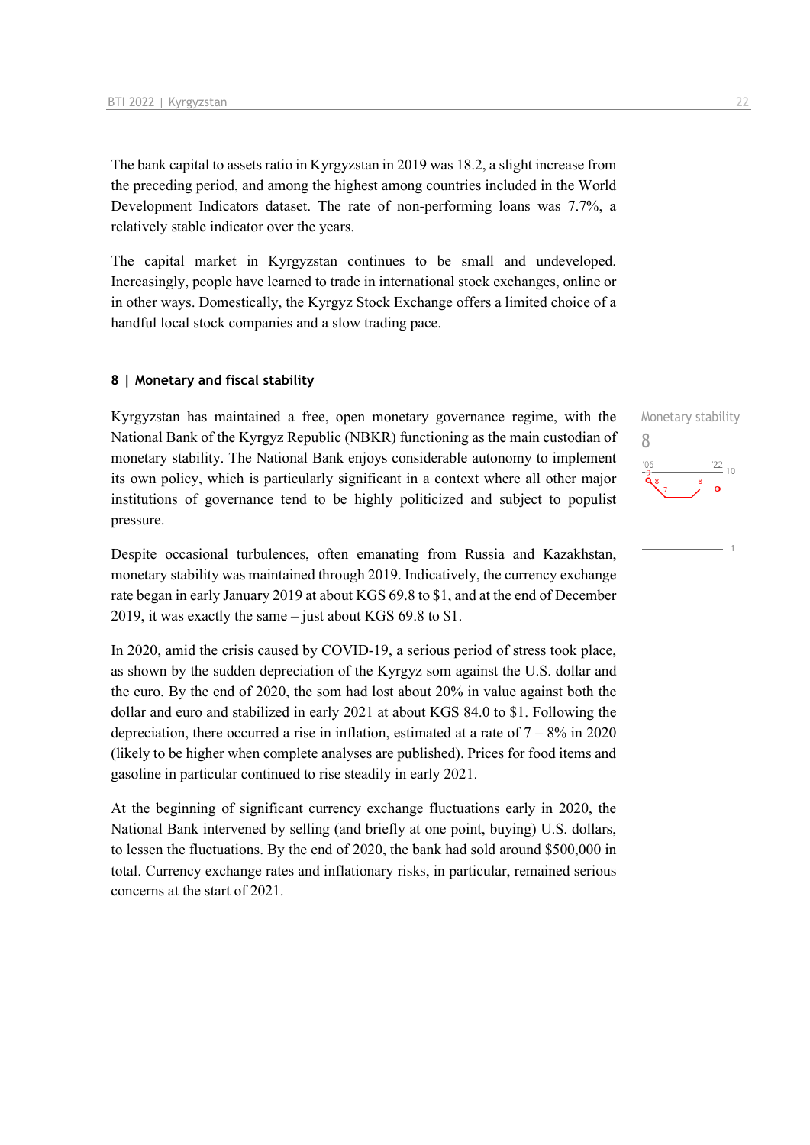The bank capital to assets ratio in Kyrgyzstan in 2019 was 18.2, a slight increase from the preceding period, and among the highest among countries included in the World Development Indicators dataset. The rate of non-performing loans was 7.7%, a relatively stable indicator over the years.

The capital market in Kyrgyzstan continues to be small and undeveloped. Increasingly, people have learned to trade in international stock exchanges, online or in other ways. Domestically, the Kyrgyz Stock Exchange offers a limited choice of a handful local stock companies and a slow trading pace.

#### **8 | Monetary and fiscal stability**

Kyrgyzstan has maintained a free, open monetary governance regime, with the National Bank of the Kyrgyz Republic (NBKR) functioning as the main custodian of monetary stability. The National Bank enjoys considerable autonomy to implement its own policy, which is particularly significant in a context where all other major institutions of governance tend to be highly politicized and subject to populist pressure.

Despite occasional turbulences, often emanating from Russia and Kazakhstan, monetary stability was maintained through 2019. Indicatively, the currency exchange rate began in early January 2019 at about KGS 69.8 to \$1, and at the end of December 2019, it was exactly the same – just about KGS 69.8 to \$1.

In 2020, amid the crisis caused by COVID-19, a serious period of stress took place, as shown by the sudden depreciation of the Kyrgyz som against the U.S. dollar and the euro. By the end of 2020, the som had lost about 20% in value against both the dollar and euro and stabilized in early 2021 at about KGS 84.0 to \$1. Following the depreciation, there occurred a rise in inflation, estimated at a rate of  $7 - 8\%$  in 2020 (likely to be higher when complete analyses are published). Prices for food items and gasoline in particular continued to rise steadily in early 2021.

At the beginning of significant currency exchange fluctuations early in 2020, the National Bank intervened by selling (and briefly at one point, buying) U.S. dollars, to lessen the fluctuations. By the end of 2020, the bank had sold around \$500,000 in total. Currency exchange rates and inflationary risks, in particular, remained serious concerns at the start of 2021.

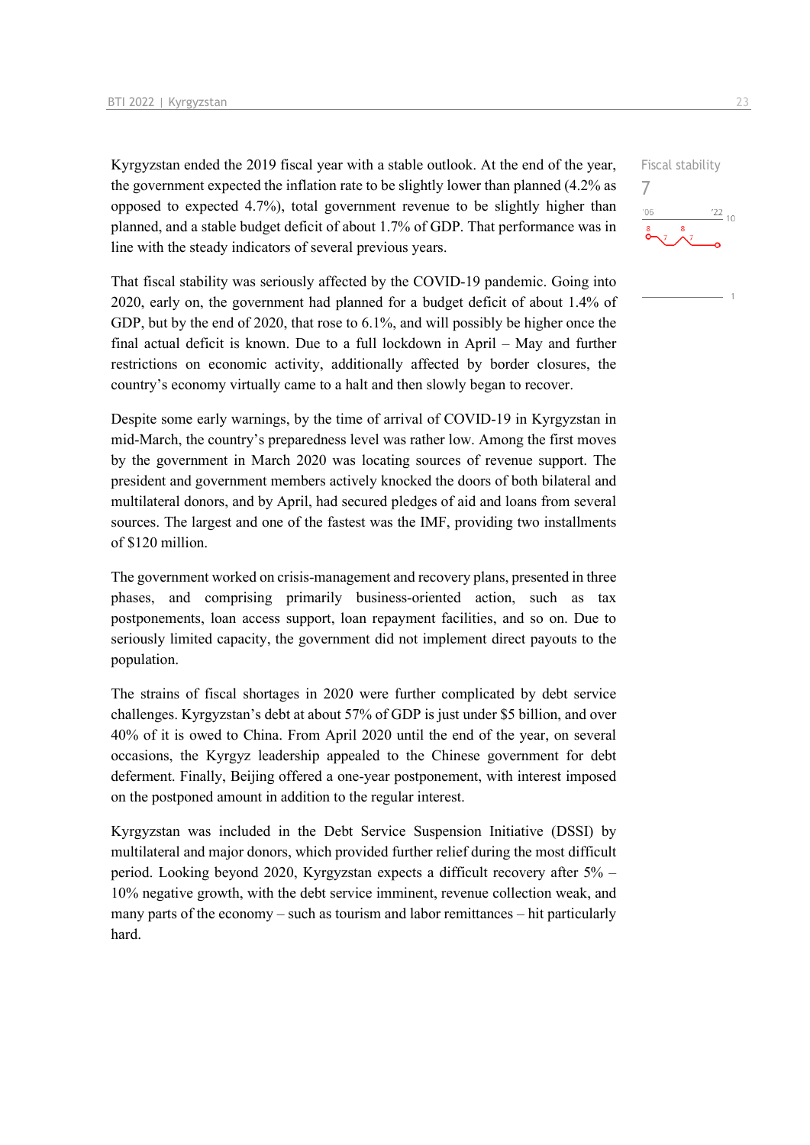Kyrgyzstan ended the 2019 fiscal year with a stable outlook. At the end of the year, the government expected the inflation rate to be slightly lower than planned (4.2% as opposed to expected 4.7%), total government revenue to be slightly higher than planned, and a stable budget deficit of about 1.7% of GDP. That performance was in line with the steady indicators of several previous years.

That fiscal stability was seriously affected by the COVID-19 pandemic. Going into 2020, early on, the government had planned for a budget deficit of about 1.4% of GDP, but by the end of 2020, that rose to 6.1%, and will possibly be higher once the final actual deficit is known. Due to a full lockdown in April – May and further restrictions on economic activity, additionally affected by border closures, the country's economy virtually came to a halt and then slowly began to recover.

Despite some early warnings, by the time of arrival of COVID-19 in Kyrgyzstan in mid-March, the country's preparedness level was rather low. Among the first moves by the government in March 2020 was locating sources of revenue support. The president and government members actively knocked the doors of both bilateral and multilateral donors, and by April, had secured pledges of aid and loans from several sources. The largest and one of the fastest was the IMF, providing two installments of \$120 million.

The government worked on crisis-management and recovery plans, presented in three phases, and comprising primarily business-oriented action, such as tax postponements, loan access support, loan repayment facilities, and so on. Due to seriously limited capacity, the government did not implement direct payouts to the population.

The strains of fiscal shortages in 2020 were further complicated by debt service challenges. Kyrgyzstan's debt at about 57% of GDP is just under \$5 billion, and over 40% of it is owed to China. From April 2020 until the end of the year, on several occasions, the Kyrgyz leadership appealed to the Chinese government for debt deferment. Finally, Beijing offered a one-year postponement, with interest imposed on the postponed amount in addition to the regular interest.

Kyrgyzstan was included in the Debt Service Suspension Initiative (DSSI) by multilateral and major donors, which provided further relief during the most difficult period. Looking beyond 2020, Kyrgyzstan expects a difficult recovery after 5% – 10% negative growth, with the debt service imminent, revenue collection weak, and many parts of the economy – such as tourism and labor remittances – hit particularly hard.

Fiscal stability 7 $\frac{22}{10}$  $106$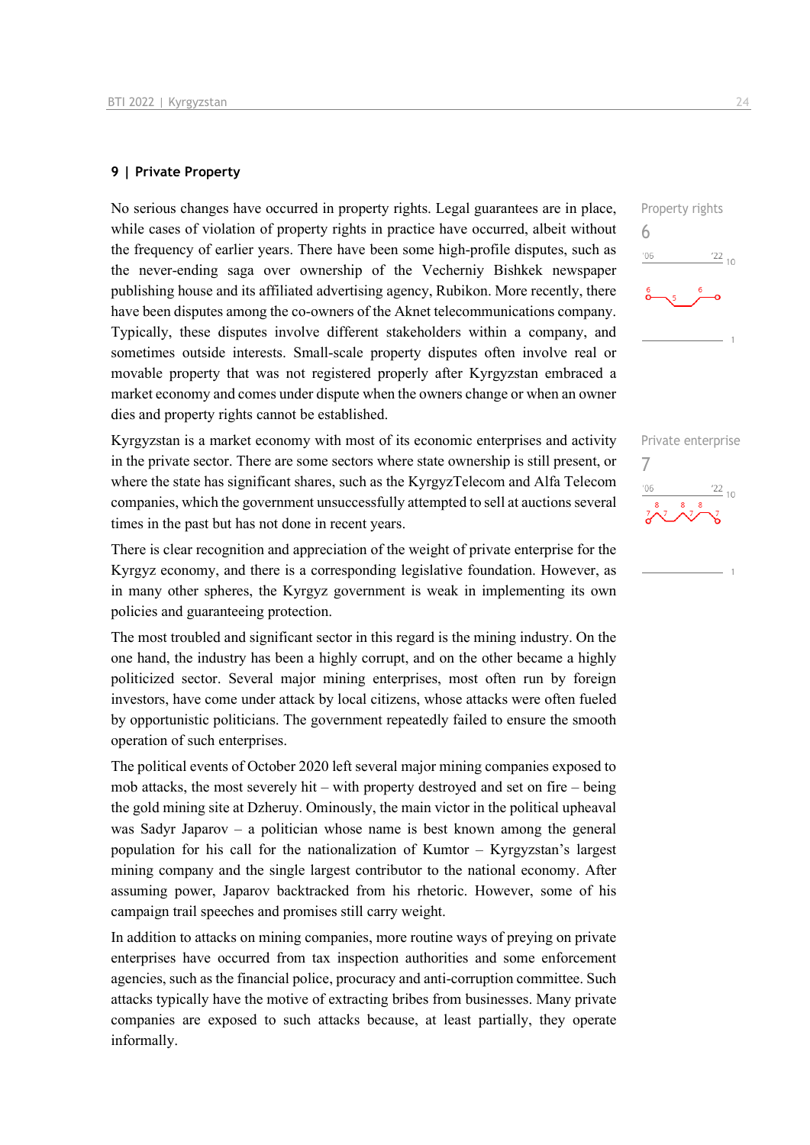#### **9 | Private Property**

No serious changes have occurred in property rights. Legal guarantees are in place, while cases of violation of property rights in practice have occurred, albeit without the frequency of earlier years. There have been some high-profile disputes, such as the never-ending saga over ownership of the Vecherniy Bishkek newspaper publishing house and its affiliated advertising agency, Rubikon. More recently, there have been disputes among the co-owners of the Aknet telecommunications company. Typically, these disputes involve different stakeholders within a company, and sometimes outside interests. Small-scale property disputes often involve real or movable property that was not registered properly after Kyrgyzstan embraced a market economy and comes under dispute when the owners change or when an owner dies and property rights cannot be established.

Kyrgyzstan is a market economy with most of its economic enterprises and activity in the private sector. There are some sectors where state ownership is still present, or where the state has significant shares, such as the KyrgyzTelecom and Alfa Telecom companies, which the government unsuccessfully attempted to sell at auctions several times in the past but has not done in recent years.

There is clear recognition and appreciation of the weight of private enterprise for the Kyrgyz economy, and there is a corresponding legislative foundation. However, as in many other spheres, the Kyrgyz government is weak in implementing its own policies and guaranteeing protection.

The most troubled and significant sector in this regard is the mining industry. On the one hand, the industry has been a highly corrupt, and on the other became a highly politicized sector. Several major mining enterprises, most often run by foreign investors, have come under attack by local citizens, whose attacks were often fueled by opportunistic politicians. The government repeatedly failed to ensure the smooth operation of such enterprises.

The political events of October 2020 left several major mining companies exposed to mob attacks, the most severely hit – with property destroyed and set on fire – being the gold mining site at Dzheruy. Ominously, the main victor in the political upheaval was Sadyr Japarov – a politician whose name is best known among the general population for his call for the nationalization of Kumtor – Kyrgyzstan's largest mining company and the single largest contributor to the national economy. After assuming power, Japarov backtracked from his rhetoric. However, some of his campaign trail speeches and promises still carry weight.

In addition to attacks on mining companies, more routine ways of preying on private enterprises have occurred from tax inspection authorities and some enforcement agencies, such as the financial police, procuracy and anti-corruption committee. Such attacks typically have the motive of extracting bribes from businesses. Many private companies are exposed to such attacks because, at least partially, they operate informally.

Property rights 6  $\frac{22}{10}$  $'06$ 

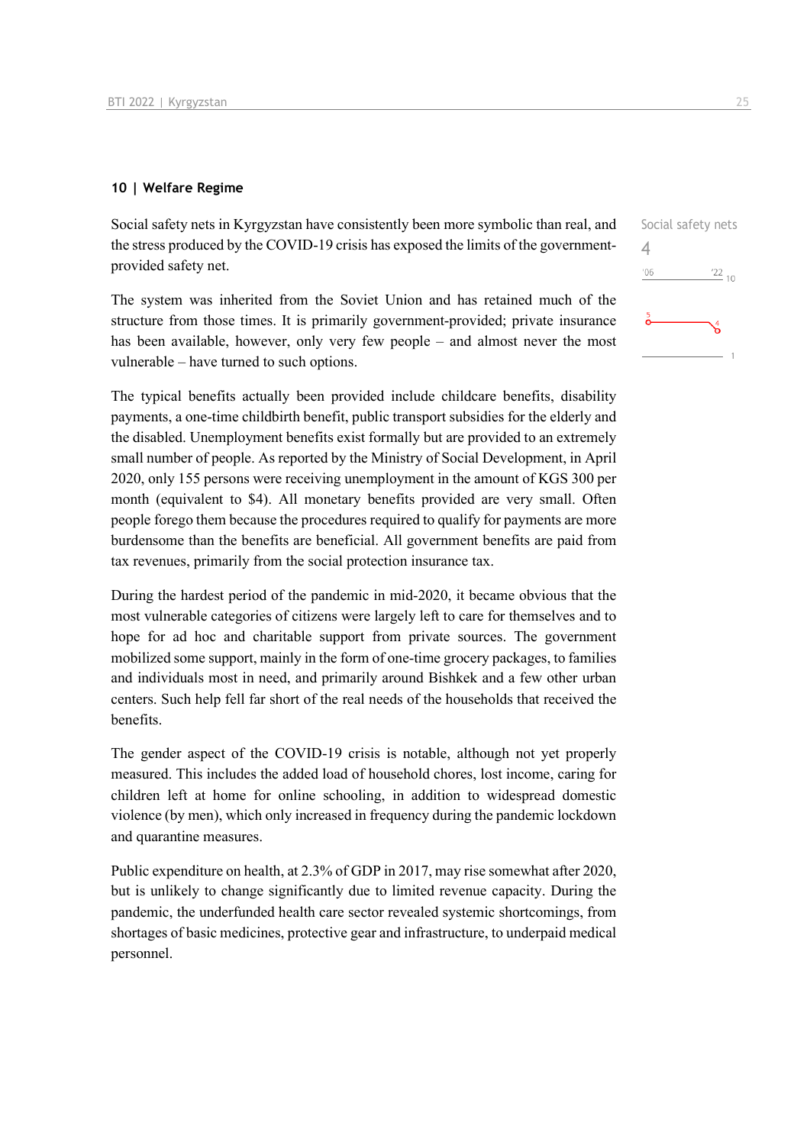#### **10 | Welfare Regime**

Social safety nets in Kyrgyzstan have consistently been more symbolic than real, and the stress produced by the COVID-19 crisis has exposed the limits of the governmentprovided safety net.

The system was inherited from the Soviet Union and has retained much of the structure from those times. It is primarily government-provided; private insurance has been available, however, only very few people – and almost never the most vulnerable – have turned to such options.

The typical benefits actually been provided include childcare benefits, disability payments, a one-time childbirth benefit, public transport subsidies for the elderly and the disabled. Unemployment benefits exist formally but are provided to an extremely small number of people. As reported by the Ministry of Social Development, in April 2020, only 155 persons were receiving unemployment in the amount of KGS 300 per month (equivalent to \$4). All monetary benefits provided are very small. Often people forego them because the procedures required to qualify for payments are more burdensome than the benefits are beneficial. All government benefits are paid from tax revenues, primarily from the social protection insurance tax.

During the hardest period of the pandemic in mid-2020, it became obvious that the most vulnerable categories of citizens were largely left to care for themselves and to hope for ad hoc and charitable support from private sources. The government mobilized some support, mainly in the form of one-time grocery packages, to families and individuals most in need, and primarily around Bishkek and a few other urban centers. Such help fell far short of the real needs of the households that received the benefits.

The gender aspect of the COVID-19 crisis is notable, although not yet properly measured. This includes the added load of household chores, lost income, caring for children left at home for online schooling, in addition to widespread domestic violence (by men), which only increased in frequency during the pandemic lockdown and quarantine measures.

Public expenditure on health, at 2.3% of GDP in 2017, may rise somewhat after 2020, but is unlikely to change significantly due to limited revenue capacity. During the pandemic, the underfunded health care sector revealed systemic shortcomings, from shortages of basic medicines, protective gear and infrastructure, to underpaid medical personnel.

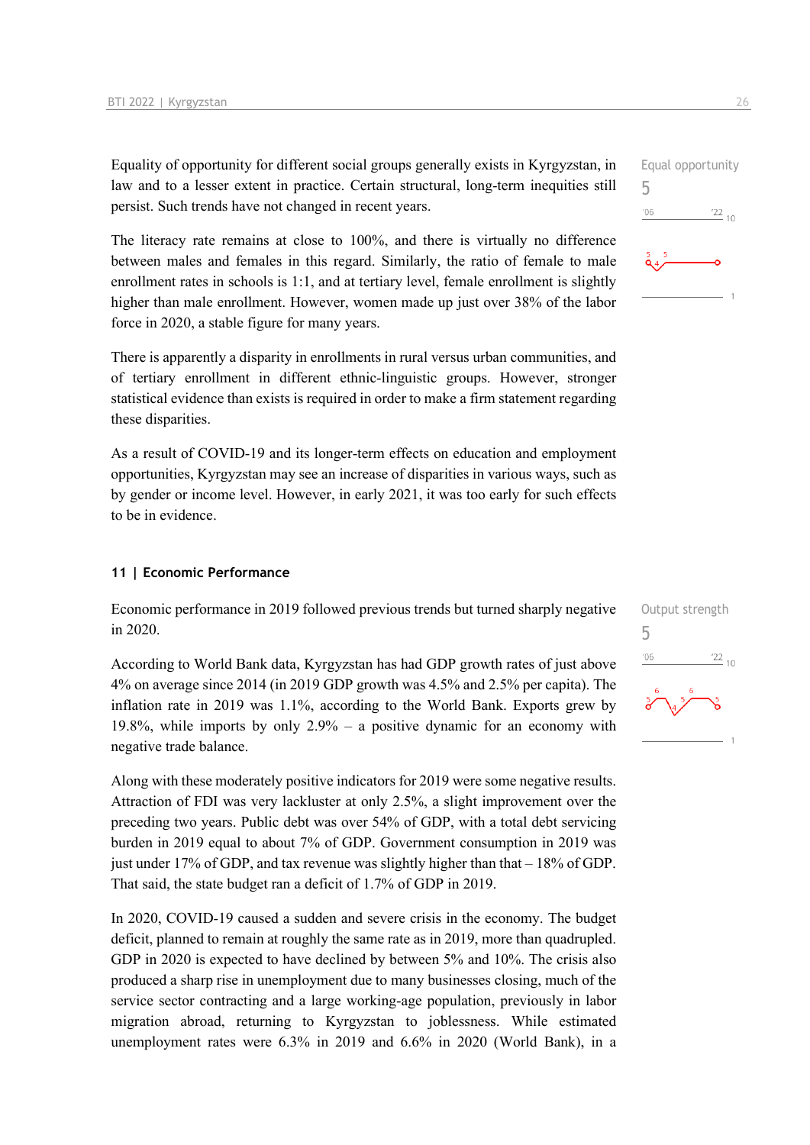Equality of opportunity for different social groups generally exists in Kyrgyzstan, in law and to a lesser extent in practice. Certain structural, long-term inequities still persist. Such trends have not changed in recent years.

The literacy rate remains at close to 100%, and there is virtually no difference between males and females in this regard. Similarly, the ratio of female to male enrollment rates in schools is 1:1, and at tertiary level, female enrollment is slightly higher than male enrollment. However, women made up just over 38% of the labor force in 2020, a stable figure for many years.

There is apparently a disparity in enrollments in rural versus urban communities, and of tertiary enrollment in different ethnic-linguistic groups. However, stronger statistical evidence than exists is required in order to make a firm statement regarding these disparities.

As a result of COVID-19 and its longer-term effects on education and employment opportunities, Kyrgyzstan may see an increase of disparities in various ways, such as by gender or income level. However, in early 2021, it was too early for such effects to be in evidence.

#### **11 | Economic Performance**

Economic performance in 2019 followed previous trends but turned sharply negative in 2020.

According to World Bank data, Kyrgyzstan has had GDP growth rates of just above 4% on average since 2014 (in 2019 GDP growth was 4.5% and 2.5% per capita). The inflation rate in 2019 was 1.1%, according to the World Bank. Exports grew by 19.8%, while imports by only 2.9% – a positive dynamic for an economy with negative trade balance.

Along with these moderately positive indicators for 2019 were some negative results. Attraction of FDI was very lackluster at only 2.5%, a slight improvement over the preceding two years. Public debt was over 54% of GDP, with a total debt servicing burden in 2019 equal to about 7% of GDP. Government consumption in 2019 was just under 17% of GDP, and tax revenue was slightly higher than that – 18% of GDP. That said, the state budget ran a deficit of 1.7% of GDP in 2019.

In 2020, COVID-19 caused a sudden and severe crisis in the economy. The budget deficit, planned to remain at roughly the same rate as in 2019, more than quadrupled. GDP in 2020 is expected to have declined by between 5% and 10%. The crisis also produced a sharp rise in unemployment due to many businesses closing, much of the service sector contracting and a large working-age population, previously in labor migration abroad, returning to Kyrgyzstan to joblessness. While estimated unemployment rates were 6.3% in 2019 and 6.6% in 2020 (World Bank), in a

5

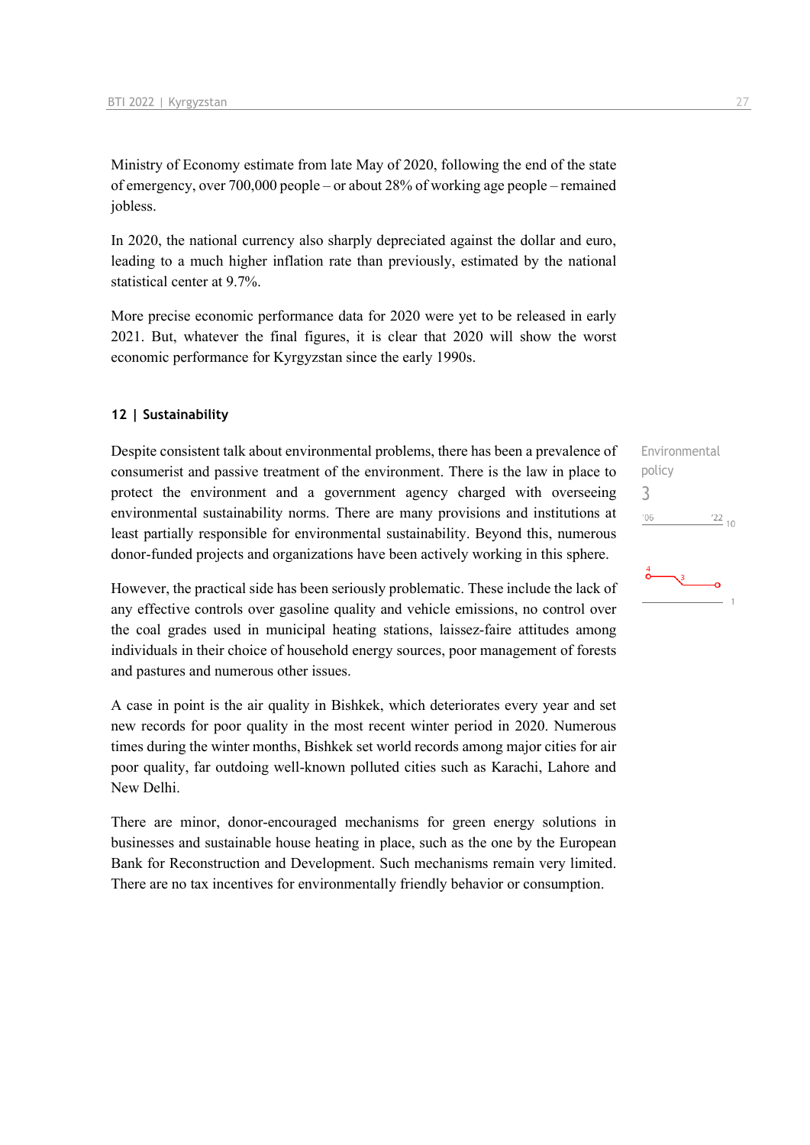Ministry of Economy estimate from late May of 2020, following the end of the state of emergency, over 700,000 people – or about 28% of working age people – remained jobless.

In 2020, the national currency also sharply depreciated against the dollar and euro, leading to a much higher inflation rate than previously, estimated by the national statistical center at 9.7%.

More precise economic performance data for 2020 were yet to be released in early 2021. But, whatever the final figures, it is clear that 2020 will show the worst economic performance for Kyrgyzstan since the early 1990s.

#### **12 | Sustainability**

Despite consistent talk about environmental problems, there has been a prevalence of consumerist and passive treatment of the environment. There is the law in place to protect the environment and a government agency charged with overseeing environmental sustainability norms. There are many provisions and institutions at least partially responsible for environmental sustainability. Beyond this, numerous donor-funded projects and organizations have been actively working in this sphere.

However, the practical side has been seriously problematic. These include the lack of any effective controls over gasoline quality and vehicle emissions, no control over the coal grades used in municipal heating stations, laissez-faire attitudes among individuals in their choice of household energy sources, poor management of forests and pastures and numerous other issues.

A case in point is the air quality in Bishkek, which deteriorates every year and set new records for poor quality in the most recent winter period in 2020. Numerous times during the winter months, Bishkek set world records among major cities for air poor quality, far outdoing well-known polluted cities such as Karachi, Lahore and New Delhi.

There are minor, donor-encouraged mechanisms for green energy solutions in businesses and sustainable house heating in place, such as the one by the European Bank for Reconstruction and Development. Such mechanisms remain very limited. There are no tax incentives for environmentally friendly behavior or consumption.

Environmental policy 3 $-06$  $\frac{22}{10}$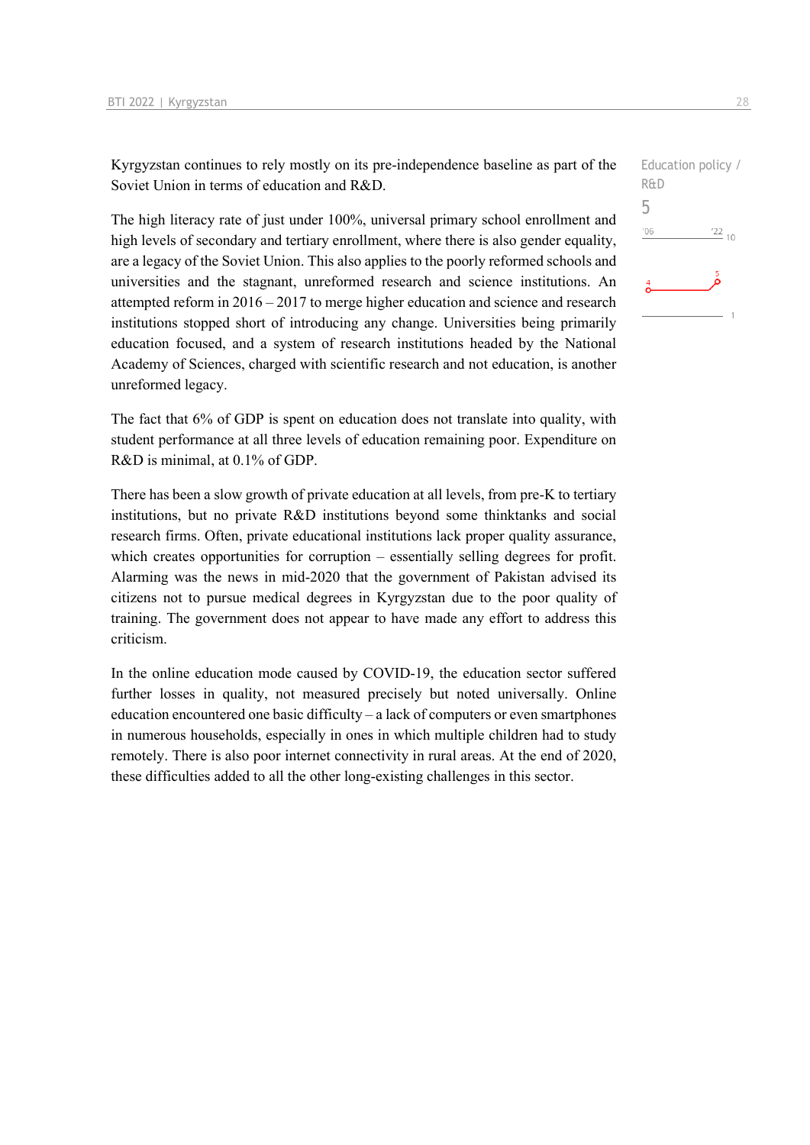Kyrgyzstan continues to rely mostly on its pre-independence baseline as part of the Soviet Union in terms of education and R&D.

The high literacy rate of just under 100%, universal primary school enrollment and high levels of secondary and tertiary enrollment, where there is also gender equality, are a legacy of the Soviet Union. This also applies to the poorly reformed schools and universities and the stagnant, unreformed research and science institutions. An attempted reform in 2016 – 2017 to merge higher education and science and research institutions stopped short of introducing any change. Universities being primarily education focused, and a system of research institutions headed by the National Academy of Sciences, charged with scientific research and not education, is another unreformed legacy.

The fact that 6% of GDP is spent on education does not translate into quality, with student performance at all three levels of education remaining poor. Expenditure on R&D is minimal, at 0.1% of GDP.

There has been a slow growth of private education at all levels, from pre-K to tertiary institutions, but no private R&D institutions beyond some thinktanks and social research firms. Often, private educational institutions lack proper quality assurance, which creates opportunities for corruption – essentially selling degrees for profit. Alarming was the news in mid-2020 that the government of Pakistan advised its citizens not to pursue medical degrees in Kyrgyzstan due to the poor quality of training. The government does not appear to have made any effort to address this criticism.

In the online education mode caused by COVID-19, the education sector suffered further losses in quality, not measured precisely but noted universally. Online education encountered one basic difficulty – a lack of computers or even smartphones in numerous households, especially in ones in which multiple children had to study remotely. There is also poor internet connectivity in rural areas. At the end of 2020, these difficulties added to all the other long-existing challenges in this sector.

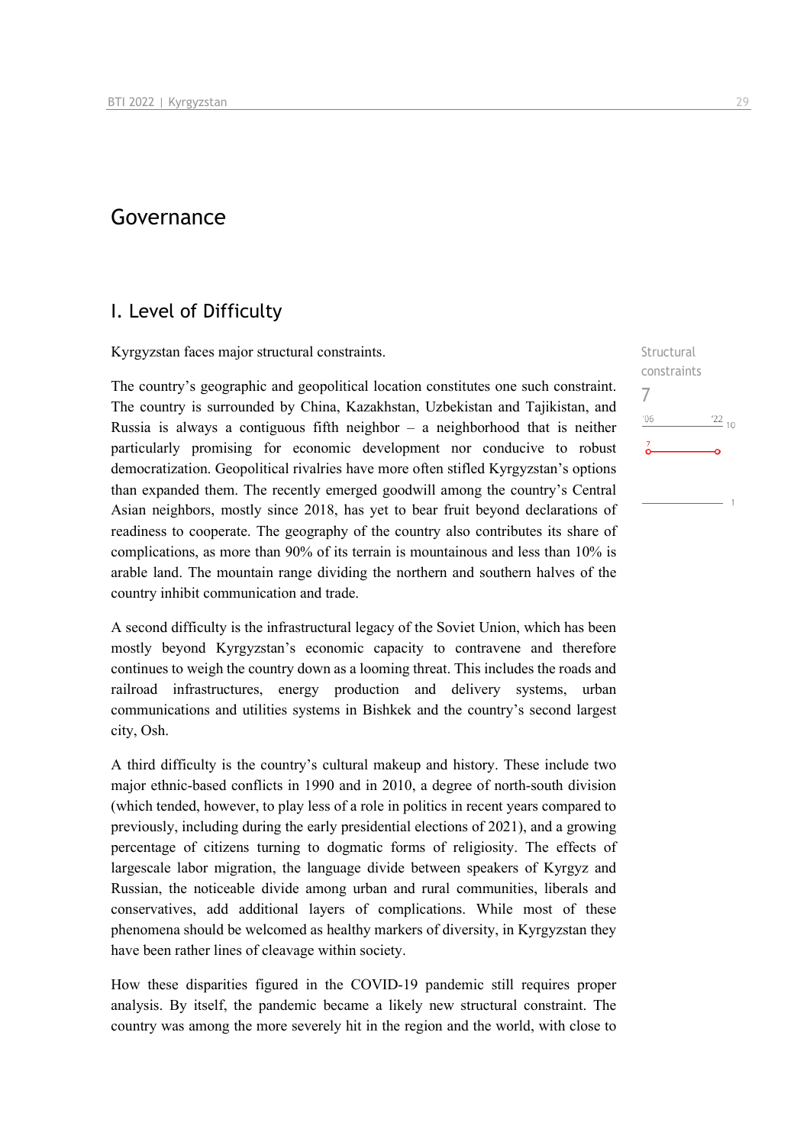## Governance

### I. Level of Difficulty

Kyrgyzstan faces major structural constraints.

The country's geographic and geopolitical location constitutes one such constraint. The country is surrounded by China, Kazakhstan, Uzbekistan and Tajikistan, and Russia is always a contiguous fifth neighbor  $-$  a neighborhood that is neither particularly promising for economic development nor conducive to robust democratization. Geopolitical rivalries have more often stifled Kyrgyzstan's options than expanded them. The recently emerged goodwill among the country's Central Asian neighbors, mostly since 2018, has yet to bear fruit beyond declarations of readiness to cooperate. The geography of the country also contributes its share of complications, as more than 90% of its terrain is mountainous and less than 10% is arable land. The mountain range dividing the northern and southern halves of the country inhibit communication and trade.

A second difficulty is the infrastructural legacy of the Soviet Union, which has been mostly beyond Kyrgyzstan's economic capacity to contravene and therefore continues to weigh the country down as a looming threat. This includes the roads and railroad infrastructures, energy production and delivery systems, urban communications and utilities systems in Bishkek and the country's second largest city, Osh.

A third difficulty is the country's cultural makeup and history. These include two major ethnic-based conflicts in 1990 and in 2010, a degree of north-south division (which tended, however, to play less of a role in politics in recent years compared to previously, including during the early presidential elections of 2021), and a growing percentage of citizens turning to dogmatic forms of religiosity. The effects of largescale labor migration, the language divide between speakers of Kyrgyz and Russian, the noticeable divide among urban and rural communities, liberals and conservatives, add additional layers of complications. While most of these phenomena should be welcomed as healthy markers of diversity, in Kyrgyzstan they have been rather lines of cleavage within society.

How these disparities figured in the COVID-19 pandemic still requires proper analysis. By itself, the pandemic became a likely new structural constraint. The country was among the more severely hit in the region and the world, with close to **Structural** constraints

 $^{22}$  10

7

 $106$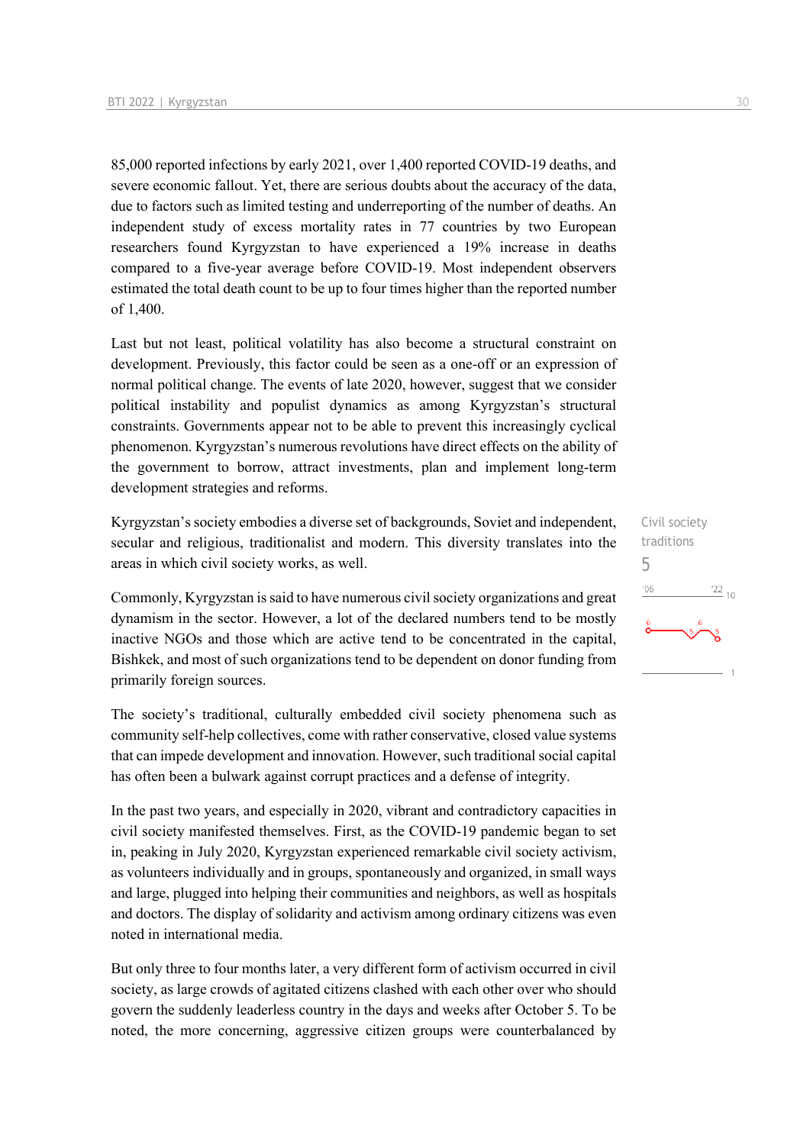85,000 reported infections by early 2021, over 1,400 reported COVID-19 deaths, and severe economic fallout. Yet, there are serious doubts about the accuracy of the data, due to factors such as limited testing and underreporting of the number of deaths. An independent study of excess mortality rates in 77 countries by two European researchers found Kyrgyzstan to have experienced a 19% increase in deaths compared to a five-year average before COVID-19. Most independent observers estimated the total death count to be up to four times higher than the reported number of 1,400.

Last but not least, political volatility has also become a structural constraint on development. Previously, this factor could be seen as a one-off or an expression of normal political change. The events of late 2020, however, suggest that we consider political instability and populist dynamics as among Kyrgyzstan's structural constraints. Governments appear not to be able to prevent this increasingly cyclical phenomenon. Kyrgyzstan's numerous revolutions have direct effects on the ability of the government to borrow, attract investments, plan and implement long-term development strategies and reforms.

Kyrgyzstan's society embodies a diverse set of backgrounds, Soviet and independent, secular and religious, traditionalist and modern. This diversity translates into the areas in which civil society works, as well.

Commonly, Kyrgyzstan is said to have numerous civil society organizations and great dynamism in the sector. However, a lot of the declared numbers tend to be mostly inactive NGOs and those which are active tend to be concentrated in the capital, Bishkek, and most of such organizations tend to be dependent on donor funding from primarily foreign sources.

The society's traditional, culturally embedded civil society phenomena such as community self-help collectives, come with rather conservative, closed value systems that can impede development and innovation. However, such traditional social capital has often been a bulwark against corrupt practices and a defense of integrity.

In the past two years, and especially in 2020, vibrant and contradictory capacities in civil society manifested themselves. First, as the COVID-19 pandemic began to set in, peaking in July 2020, Kyrgyzstan experienced remarkable civil society activism, as volunteers individually and in groups, spontaneously and organized, in small ways and large, plugged into helping their communities and neighbors, as well as hospitals and doctors. The display of solidarity and activism among ordinary citizens was even noted in international media.

But only three to four months later, a very different form of activism occurred in civil society, as large crowds of agitated citizens clashed with each other over who should govern the suddenly leaderless country in the days and weeks after October 5. To be noted, the more concerning, aggressive citizen groups were counterbalanced by

Civil society traditions 5 $\frac{22}{10}$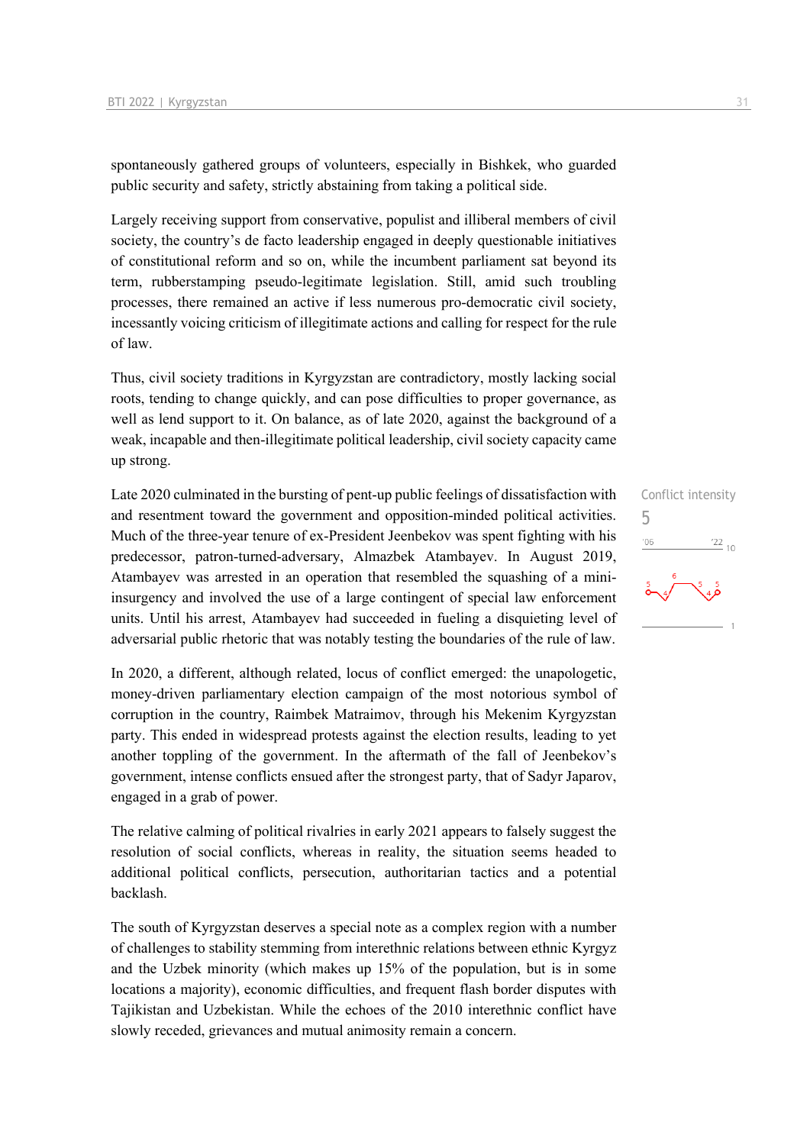spontaneously gathered groups of volunteers, especially in Bishkek, who guarded public security and safety, strictly abstaining from taking a political side.

Largely receiving support from conservative, populist and illiberal members of civil society, the country's de facto leadership engaged in deeply questionable initiatives of constitutional reform and so on, while the incumbent parliament sat beyond its term, rubberstamping pseudo-legitimate legislation. Still, amid such troubling processes, there remained an active if less numerous pro-democratic civil society, incessantly voicing criticism of illegitimate actions and calling for respect for the rule of law.

Thus, civil society traditions in Kyrgyzstan are contradictory, mostly lacking social roots, tending to change quickly, and can pose difficulties to proper governance, as well as lend support to it. On balance, as of late 2020, against the background of a weak, incapable and then-illegitimate political leadership, civil society capacity came up strong.

Late 2020 culminated in the bursting of pent-up public feelings of dissatisfaction with and resentment toward the government and opposition-minded political activities. Much of the three-year tenure of ex-President Jeenbekov was spent fighting with his predecessor, patron-turned-adversary, Almazbek Atambayev. In August 2019, Atambayev was arrested in an operation that resembled the squashing of a miniinsurgency and involved the use of a large contingent of special law enforcement units. Until his arrest, Atambayev had succeeded in fueling a disquieting level of adversarial public rhetoric that was notably testing the boundaries of the rule of law.

In 2020, a different, although related, locus of conflict emerged: the unapologetic, money-driven parliamentary election campaign of the most notorious symbol of corruption in the country, Raimbek Matraimov, through his Mekenim Kyrgyzstan party. This ended in widespread protests against the election results, leading to yet another toppling of the government. In the aftermath of the fall of Jeenbekov's government, intense conflicts ensued after the strongest party, that of Sadyr Japarov, engaged in a grab of power.

The relative calming of political rivalries in early 2021 appears to falsely suggest the resolution of social conflicts, whereas in reality, the situation seems headed to additional political conflicts, persecution, authoritarian tactics and a potential backlash.

The south of Kyrgyzstan deserves a special note as a complex region with a number of challenges to stability stemming from interethnic relations between ethnic Kyrgyz and the Uzbek minority (which makes up 15% of the population, but is in some locations a majority), economic difficulties, and frequent flash border disputes with Tajikistan and Uzbekistan. While the echoes of the 2010 interethnic conflict have slowly receded, grievances and mutual animosity remain a concern.

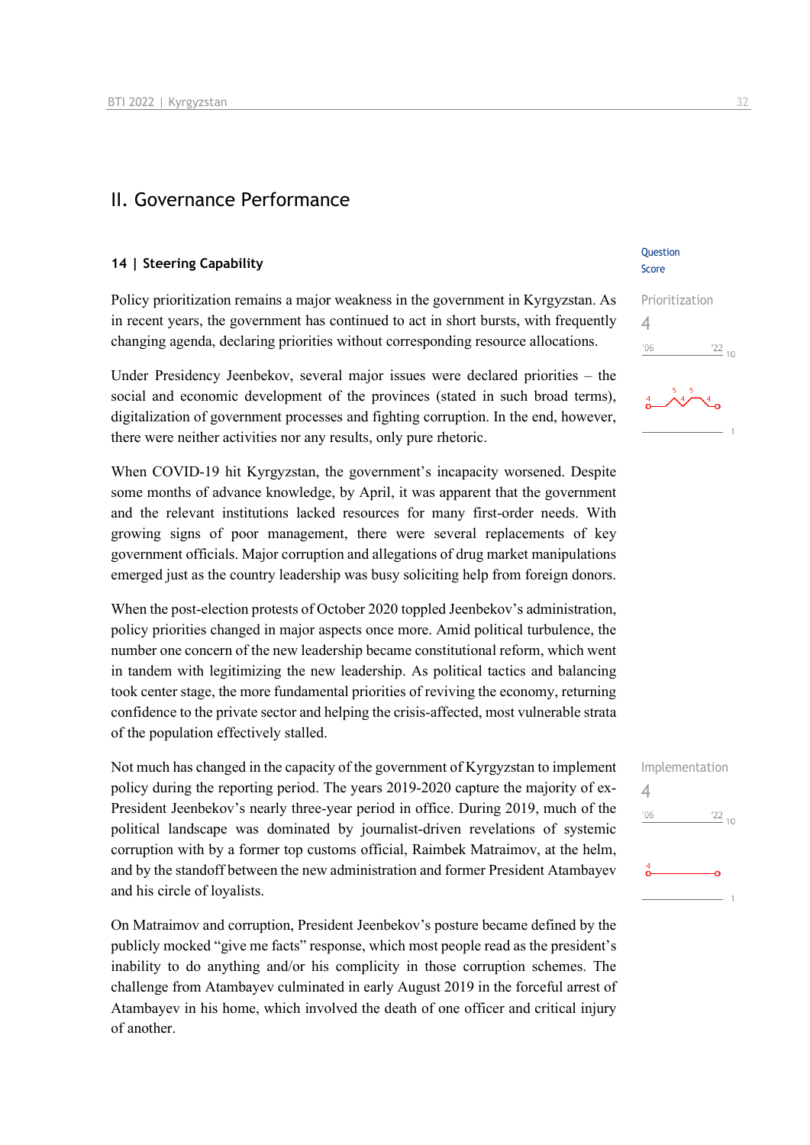### II. Governance Performance

#### **14 | Steering Capability**

Policy prioritization remains a major weakness in the government in Kyrgyzstan. As in recent years, the government has continued to act in short bursts, with frequently changing agenda, declaring priorities without corresponding resource allocations.

Under Presidency Jeenbekov, several major issues were declared priorities – the social and economic development of the provinces (stated in such broad terms), digitalization of government processes and fighting corruption. In the end, however, there were neither activities nor any results, only pure rhetoric.

When COVID-19 hit Kyrgyzstan, the government's incapacity worsened. Despite some months of advance knowledge, by April, it was apparent that the government and the relevant institutions lacked resources for many first-order needs. With growing signs of poor management, there were several replacements of key government officials. Major corruption and allegations of drug market manipulations emerged just as the country leadership was busy soliciting help from foreign donors.

When the post-election protests of October 2020 toppled Jeenbekov's administration, policy priorities changed in major aspects once more. Amid political turbulence, the number one concern of the new leadership became constitutional reform, which went in tandem with legitimizing the new leadership. As political tactics and balancing took center stage, the more fundamental priorities of reviving the economy, returning confidence to the private sector and helping the crisis-affected, most vulnerable strata of the population effectively stalled.

Not much has changed in the capacity of the government of Kyrgyzstan to implement policy during the reporting period. The years 2019-2020 capture the majority of ex-President Jeenbekov's nearly three-year period in office. During 2019, much of the political landscape was dominated by journalist-driven revelations of systemic corruption with by a former top customs official, Raimbek Matraimov, at the helm, and by the standoff between the new administration and former President Atambayev and his circle of loyalists.

On Matraimov and corruption, President Jeenbekov's posture became defined by the publicly mocked "give me facts" response, which most people read as the president's inability to do anything and/or his complicity in those corruption schemes. The challenge from Atambayev culminated in early August 2019 in the forceful arrest of Atambayev in his home, which involved the death of one officer and critical injury of another.

#### Question Score

| Prioritization |            |
|----------------|------------|
| 4              |            |
| '06            | $^{22}$ 10 |



| Implementation |                 |  |
|----------------|-----------------|--|
|                |                 |  |
| 106            | $\frac{22}{10}$ |  |
|                |                 |  |
|                |                 |  |
|                |                 |  |
|                |                 |  |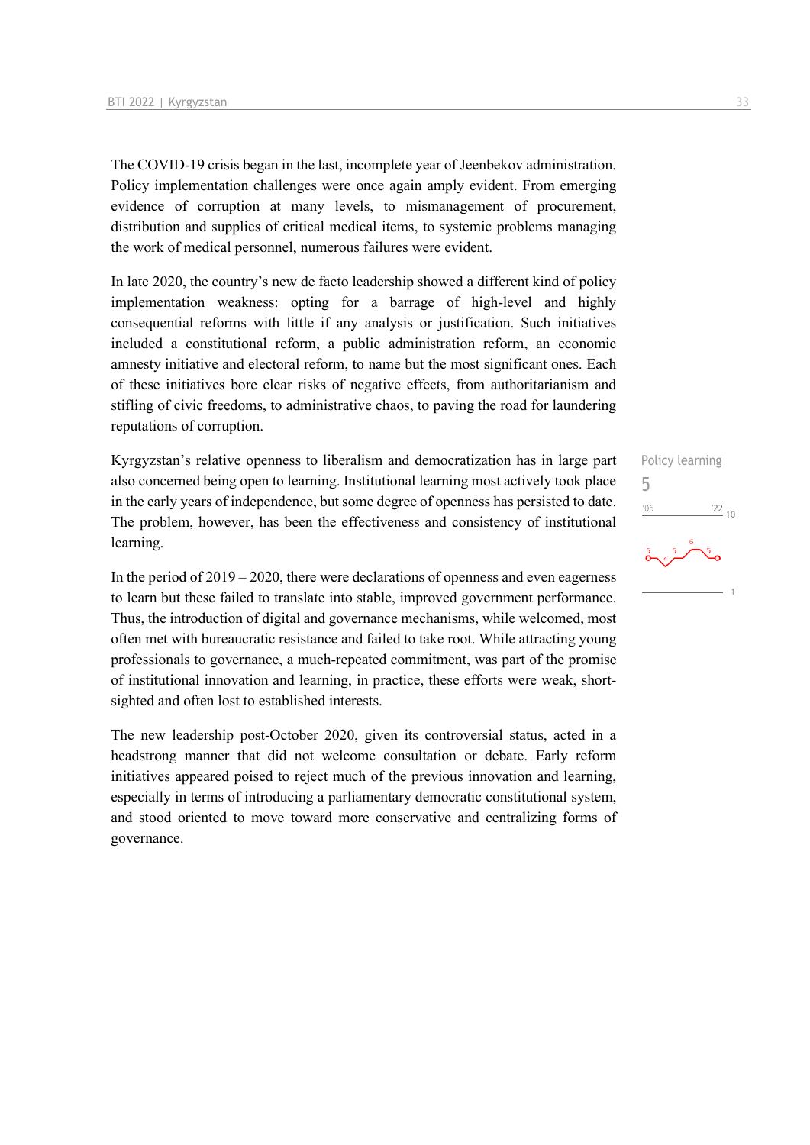The COVID-19 crisis began in the last, incomplete year of Jeenbekov administration. Policy implementation challenges were once again amply evident. From emerging evidence of corruption at many levels, to mismanagement of procurement, distribution and supplies of critical medical items, to systemic problems managing the work of medical personnel, numerous failures were evident.

In late 2020, the country's new de facto leadership showed a different kind of policy implementation weakness: opting for a barrage of high-level and highly consequential reforms with little if any analysis or justification. Such initiatives included a constitutional reform, a public administration reform, an economic amnesty initiative and electoral reform, to name but the most significant ones. Each of these initiatives bore clear risks of negative effects, from authoritarianism and stifling of civic freedoms, to administrative chaos, to paving the road for laundering reputations of corruption.

Kyrgyzstan's relative openness to liberalism and democratization has in large part also concerned being open to learning. Institutional learning most actively took place in the early years of independence, but some degree of openness has persisted to date. The problem, however, has been the effectiveness and consistency of institutional learning.

In the period of 2019 – 2020, there were declarations of openness and even eagerness to learn but these failed to translate into stable, improved government performance. Thus, the introduction of digital and governance mechanisms, while welcomed, most often met with bureaucratic resistance and failed to take root. While attracting young professionals to governance, a much-repeated commitment, was part of the promise of institutional innovation and learning, in practice, these efforts were weak, shortsighted and often lost to established interests.

The new leadership post-October 2020, given its controversial status, acted in a headstrong manner that did not welcome consultation or debate. Early reform initiatives appeared poised to reject much of the previous innovation and learning, especially in terms of introducing a parliamentary democratic constitutional system, and stood oriented to move toward more conservative and centralizing forms of governance.

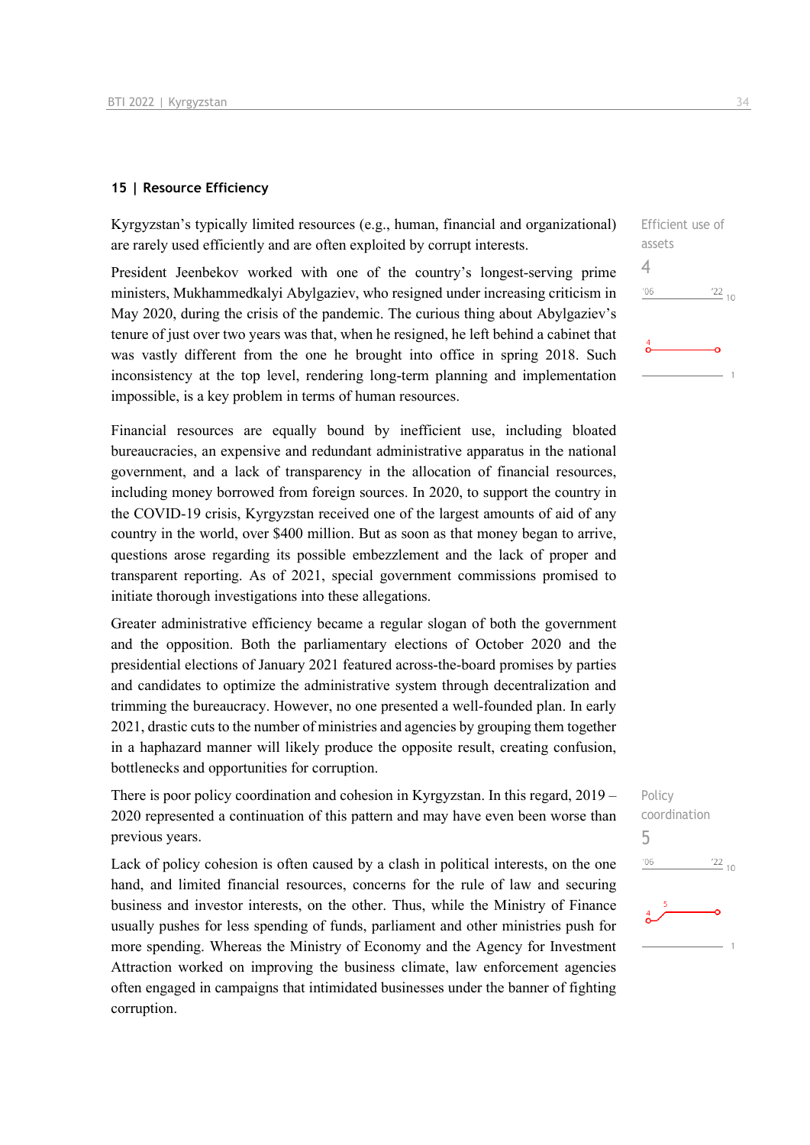#### **15 | Resource Efficiency**

Kyrgyzstan's typically limited resources (e.g., human, financial and organizational) are rarely used efficiently and are often exploited by corrupt interests.

President Jeenbekov worked with one of the country's longest-serving prime ministers, Mukhammedkalyi Abylgaziev, who resigned under increasing criticism in May 2020, during the crisis of the pandemic. The curious thing about Abylgaziev's tenure of just over two years was that, when he resigned, he left behind a cabinet that was vastly different from the one he brought into office in spring 2018. Such inconsistency at the top level, rendering long-term planning and implementation impossible, is a key problem in terms of human resources.

Financial resources are equally bound by inefficient use, including bloated bureaucracies, an expensive and redundant administrative apparatus in the national government, and a lack of transparency in the allocation of financial resources, including money borrowed from foreign sources. In 2020, to support the country in the COVID-19 crisis, Kyrgyzstan received one of the largest amounts of aid of any country in the world, over \$400 million. But as soon as that money began to arrive, questions arose regarding its possible embezzlement and the lack of proper and transparent reporting. As of 2021, special government commissions promised to initiate thorough investigations into these allegations.

Greater administrative efficiency became a regular slogan of both the government and the opposition. Both the parliamentary elections of October 2020 and the presidential elections of January 2021 featured across-the-board promises by parties and candidates to optimize the administrative system through decentralization and trimming the bureaucracy. However, no one presented a well-founded plan. In early 2021, drastic cuts to the number of ministries and agencies by grouping them together in a haphazard manner will likely produce the opposite result, creating confusion, bottlenecks and opportunities for corruption.

There is poor policy coordination and cohesion in Kyrgyzstan. In this regard, 2019 – 2020 represented a continuation of this pattern and may have even been worse than previous years.

Lack of policy cohesion is often caused by a clash in political interests, on the one hand, and limited financial resources, concerns for the rule of law and securing business and investor interests, on the other. Thus, while the Ministry of Finance usually pushes for less spending of funds, parliament and other ministries push for more spending. Whereas the Ministry of Economy and the Agency for Investment Attraction worked on improving the business climate, law enforcement agencies often engaged in campaigns that intimidated businesses under the banner of fighting corruption.

| Efficient use of |                 |
|------------------|-----------------|
| assets           |                 |
|                  |                 |
| '06              | $\frac{22}{10}$ |
|                  |                 |
|                  |                 |
|                  |                 |
|                  |                 |

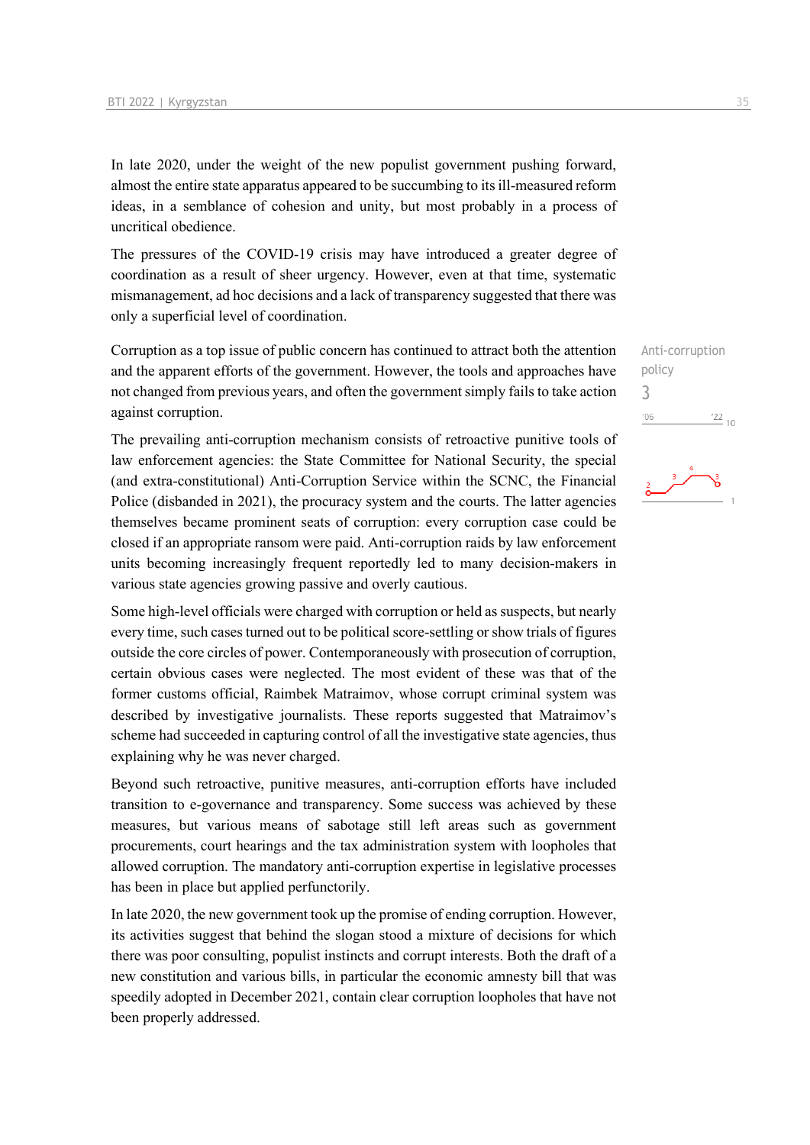In late 2020, under the weight of the new populist government pushing forward, almost the entire state apparatus appeared to be succumbing to its ill-measured reform ideas, in a semblance of cohesion and unity, but most probably in a process of uncritical obedience.

The pressures of the COVID-19 crisis may have introduced a greater degree of coordination as a result of sheer urgency. However, even at that time, systematic mismanagement, ad hoc decisions and a lack of transparency suggested that there was only a superficial level of coordination.

Corruption as a top issue of public concern has continued to attract both the attention and the apparent efforts of the government. However, the tools and approaches have not changed from previous years, and often the government simply fails to take action against corruption.

The prevailing anti-corruption mechanism consists of retroactive punitive tools of law enforcement agencies: the State Committee for National Security, the special (and extra-constitutional) Anti-Corruption Service within the SCNC, the Financial Police (disbanded in 2021), the procuracy system and the courts. The latter agencies themselves became prominent seats of corruption: every corruption case could be closed if an appropriate ransom were paid. Anti-corruption raids by law enforcement units becoming increasingly frequent reportedly led to many decision-makers in various state agencies growing passive and overly cautious.

Some high-level officials were charged with corruption or held as suspects, but nearly every time, such cases turned out to be political score-settling or show trials of figures outside the core circles of power. Contemporaneously with prosecution of corruption, certain obvious cases were neglected. The most evident of these was that of the former customs official, Raimbek Matraimov, whose corrupt criminal system was described by investigative journalists. These reports suggested that Matraimov's scheme had succeeded in capturing control of all the investigative state agencies, thus explaining why he was never charged.

Beyond such retroactive, punitive measures, anti-corruption efforts have included transition to e-governance and transparency. Some success was achieved by these measures, but various means of sabotage still left areas such as government procurements, court hearings and the tax administration system with loopholes that allowed corruption. The mandatory anti-corruption expertise in legislative processes has been in place but applied perfunctorily.

In late 2020, the new government took up the promise of ending corruption. However, its activities suggest that behind the slogan stood a mixture of decisions for which there was poor consulting, populist instincts and corrupt interests. Both the draft of a new constitution and various bills, in particular the economic amnesty bill that was speedily adopted in December 2021, contain clear corruption loopholes that have not been properly addressed.

Anti-corruption policy 3 $\frac{22}{10}$  $'06$ 

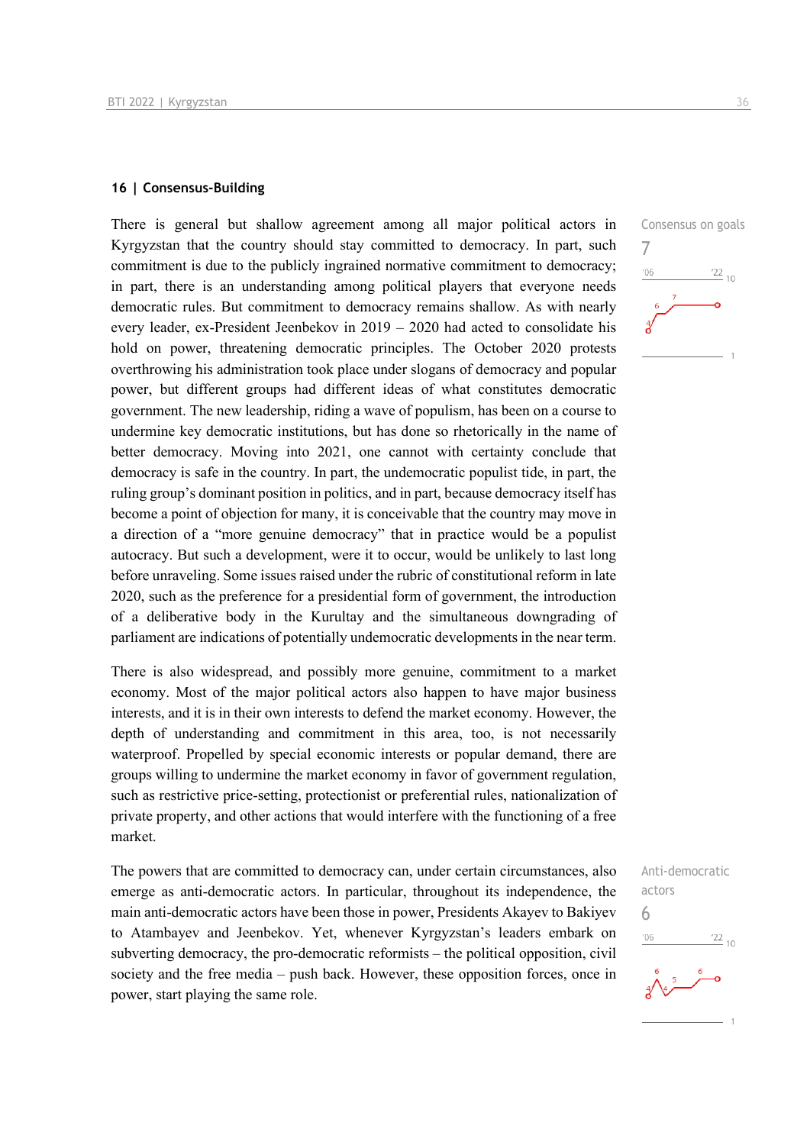#### **16 | Consensus-Building**

There is general but shallow agreement among all major political actors in Kyrgyzstan that the country should stay committed to democracy. In part, such commitment is due to the publicly ingrained normative commitment to democracy; in part, there is an understanding among political players that everyone needs democratic rules. But commitment to democracy remains shallow. As with nearly every leader, ex-President Jeenbekov in  $2019 - 2020$  had acted to consolidate his hold on power, threatening democratic principles. The October 2020 protests overthrowing his administration took place under slogans of democracy and popular power, but different groups had different ideas of what constitutes democratic government. The new leadership, riding a wave of populism, has been on a course to undermine key democratic institutions, but has done so rhetorically in the name of better democracy. Moving into 2021, one cannot with certainty conclude that democracy is safe in the country. In part, the undemocratic populist tide, in part, the ruling group's dominant position in politics, and in part, because democracy itself has become a point of objection for many, it is conceivable that the country may move in a direction of a "more genuine democracy" that in practice would be a populist autocracy. But such a development, were it to occur, would be unlikely to last long before unraveling. Some issues raised under the rubric of constitutional reform in late 2020, such as the preference for a presidential form of government, the introduction of a deliberative body in the Kurultay and the simultaneous downgrading of parliament are indications of potentially undemocratic developments in the near term.

There is also widespread, and possibly more genuine, commitment to a market economy. Most of the major political actors also happen to have major business interests, and it is in their own interests to defend the market economy. However, the depth of understanding and commitment in this area, too, is not necessarily waterproof. Propelled by special economic interests or popular demand, there are groups willing to undermine the market economy in favor of government regulation, such as restrictive price-setting, protectionist or preferential rules, nationalization of private property, and other actions that would interfere with the functioning of a free market.

The powers that are committed to democracy can, under certain circumstances, also emerge as anti-democratic actors. In particular, throughout its independence, the main anti-democratic actors have been those in power, Presidents Akayev to Bakiyev to Atambayev and Jeenbekov. Yet, whenever Kyrgyzstan's leaders embark on subverting democracy, the pro-democratic reformists – the political opposition, civil society and the free media – push back. However, these opposition forces, once in power, start playing the same role.



Anti-democratic actors 6 $\frac{22}{10}$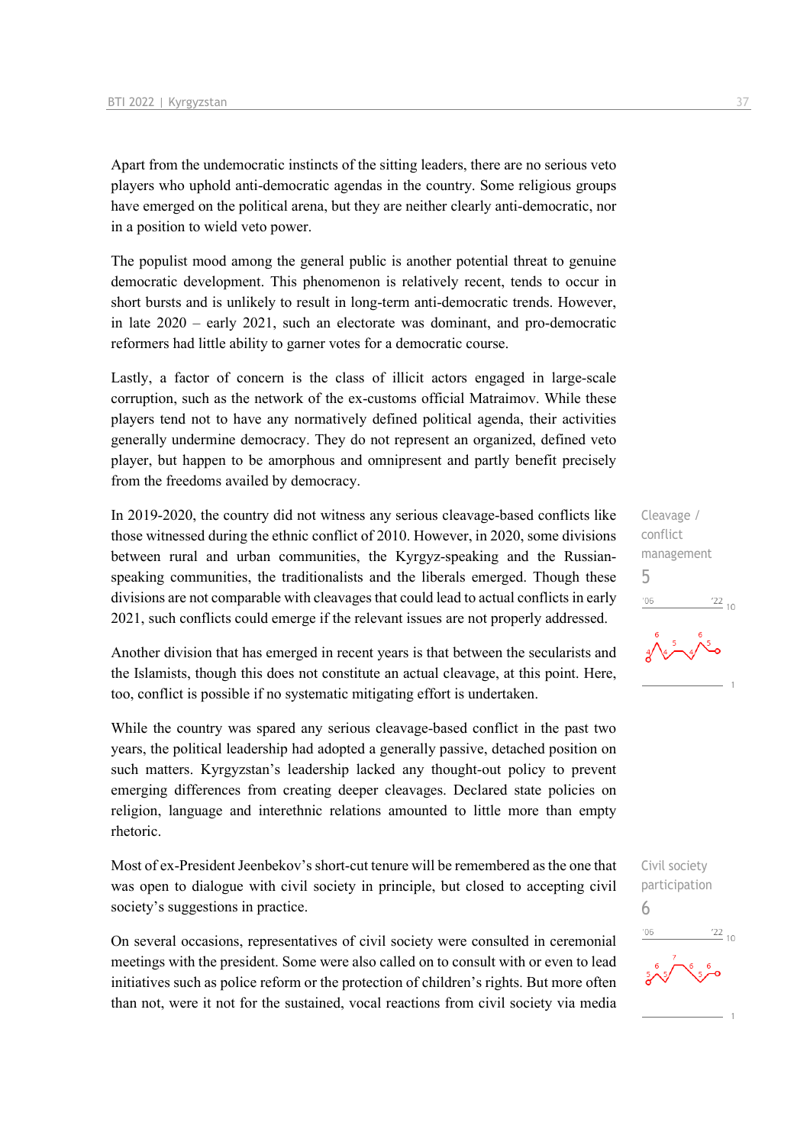Apart from the undemocratic instincts of the sitting leaders, there are no serious veto players who uphold anti-democratic agendas in the country. Some religious groups have emerged on the political arena, but they are neither clearly anti-democratic, nor in a position to wield veto power.

The populist mood among the general public is another potential threat to genuine democratic development. This phenomenon is relatively recent, tends to occur in short bursts and is unlikely to result in long-term anti-democratic trends. However, in late 2020 – early 2021, such an electorate was dominant, and pro-democratic reformers had little ability to garner votes for a democratic course.

Lastly, a factor of concern is the class of illicit actors engaged in large-scale corruption, such as the network of the ex-customs official Matraimov. While these players tend not to have any normatively defined political agenda, their activities generally undermine democracy. They do not represent an organized, defined veto player, but happen to be amorphous and omnipresent and partly benefit precisely from the freedoms availed by democracy.

In 2019-2020, the country did not witness any serious cleavage-based conflicts like those witnessed during the ethnic conflict of 2010. However, in 2020, some divisions between rural and urban communities, the Kyrgyz-speaking and the Russianspeaking communities, the traditionalists and the liberals emerged. Though these divisions are not comparable with cleavages that could lead to actual conflicts in early 2021, such conflicts could emerge if the relevant issues are not properly addressed.

Another division that has emerged in recent years is that between the secularists and the Islamists, though this does not constitute an actual cleavage, at this point. Here, too, conflict is possible if no systematic mitigating effort is undertaken.

While the country was spared any serious cleavage-based conflict in the past two years, the political leadership had adopted a generally passive, detached position on such matters. Kyrgyzstan's leadership lacked any thought-out policy to prevent emerging differences from creating deeper cleavages. Declared state policies on religion, language and interethnic relations amounted to little more than empty rhetoric.

Most of ex-President Jeenbekov's short-cut tenure will be remembered as the one that was open to dialogue with civil society in principle, but closed to accepting civil society's suggestions in practice.

On several occasions, representatives of civil society were consulted in ceremonial meetings with the president. Some were also called on to consult with or even to lead initiatives such as police reform or the protection of children's rights. But more often than not, were it not for the sustained, vocal reactions from civil society via media

Cleavage / conflict management 5  $^{22}_{-10}$  $106$ 

Civil society participation 6 $\frac{22}{10}$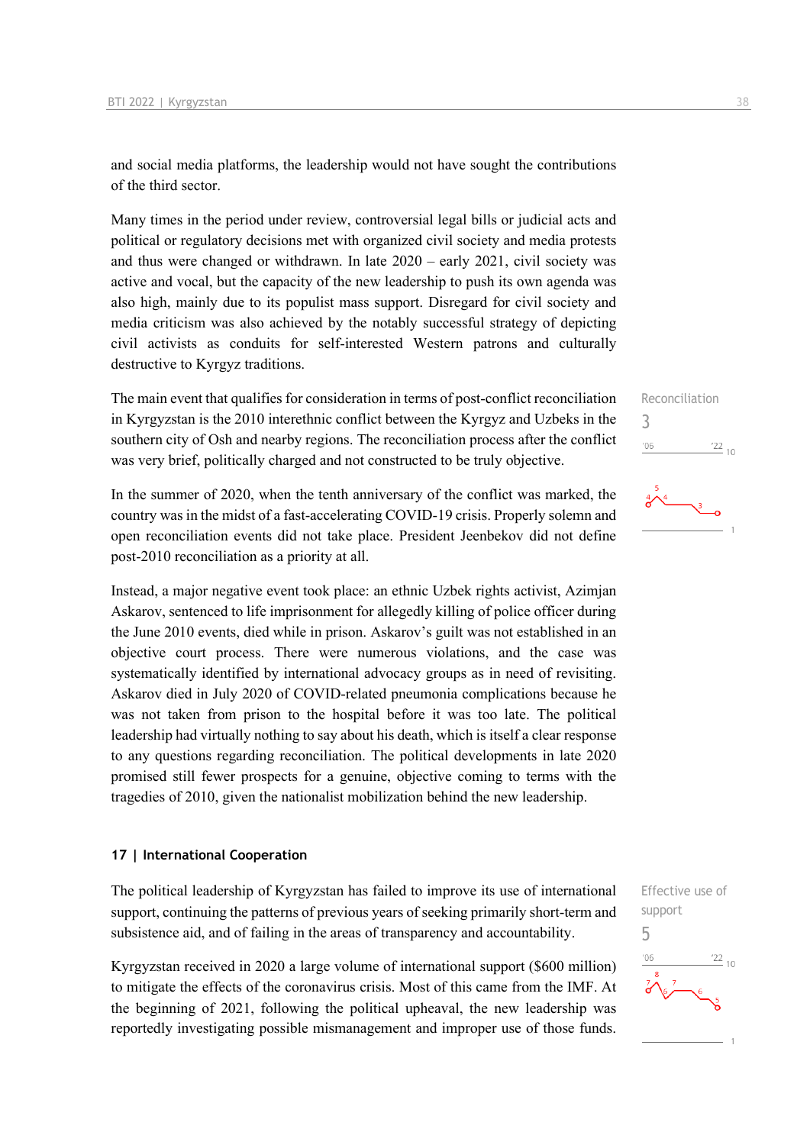and social media platforms, the leadership would not have sought the contributions of the third sector.

Many times in the period under review, controversial legal bills or judicial acts and political or regulatory decisions met with organized civil society and media protests and thus were changed or withdrawn. In late 2020 – early 2021, civil society was active and vocal, but the capacity of the new leadership to push its own agenda was also high, mainly due to its populist mass support. Disregard for civil society and media criticism was also achieved by the notably successful strategy of depicting civil activists as conduits for self-interested Western patrons and culturally destructive to Kyrgyz traditions.

The main event that qualifies for consideration in terms of post-conflict reconciliation in Kyrgyzstan is the 2010 interethnic conflict between the Kyrgyz and Uzbeks in the southern city of Osh and nearby regions. The reconciliation process after the conflict was very brief, politically charged and not constructed to be truly objective.

In the summer of 2020, when the tenth anniversary of the conflict was marked, the country was in the midst of a fast-accelerating COVID-19 crisis. Properly solemn and open reconciliation events did not take place. President Jeenbekov did not define post-2010 reconciliation as a priority at all.

Instead, a major negative event took place: an ethnic Uzbek rights activist, Azimjan Askarov, sentenced to life imprisonment for allegedly killing of police officer during the June 2010 events, died while in prison. Askarov's guilt was not established in an objective court process. There were numerous violations, and the case was systematically identified by international advocacy groups as in need of revisiting. Askarov died in July 2020 of COVID-related pneumonia complications because he was not taken from prison to the hospital before it was too late. The political leadership had virtually nothing to say about his death, which is itself a clear response to any questions regarding reconciliation. The political developments in late 2020 promised still fewer prospects for a genuine, objective coming to terms with the tragedies of 2010, given the nationalist mobilization behind the new leadership.

#### **17 | International Cooperation**

The political leadership of Kyrgyzstan has failed to improve its use of international support, continuing the patterns of previous years of seeking primarily short-term and subsistence aid, and of failing in the areas of transparency and accountability.

Kyrgyzstan received in 2020 a large volume of international support (\$600 million) to mitigate the effects of the coronavirus crisis. Most of this came from the IMF. At the beginning of 2021, following the political upheaval, the new leadership was reportedly investigating possible mismanagement and improper use of those funds. Reconciliation 3  $\frac{22}{10}$  $106$ 



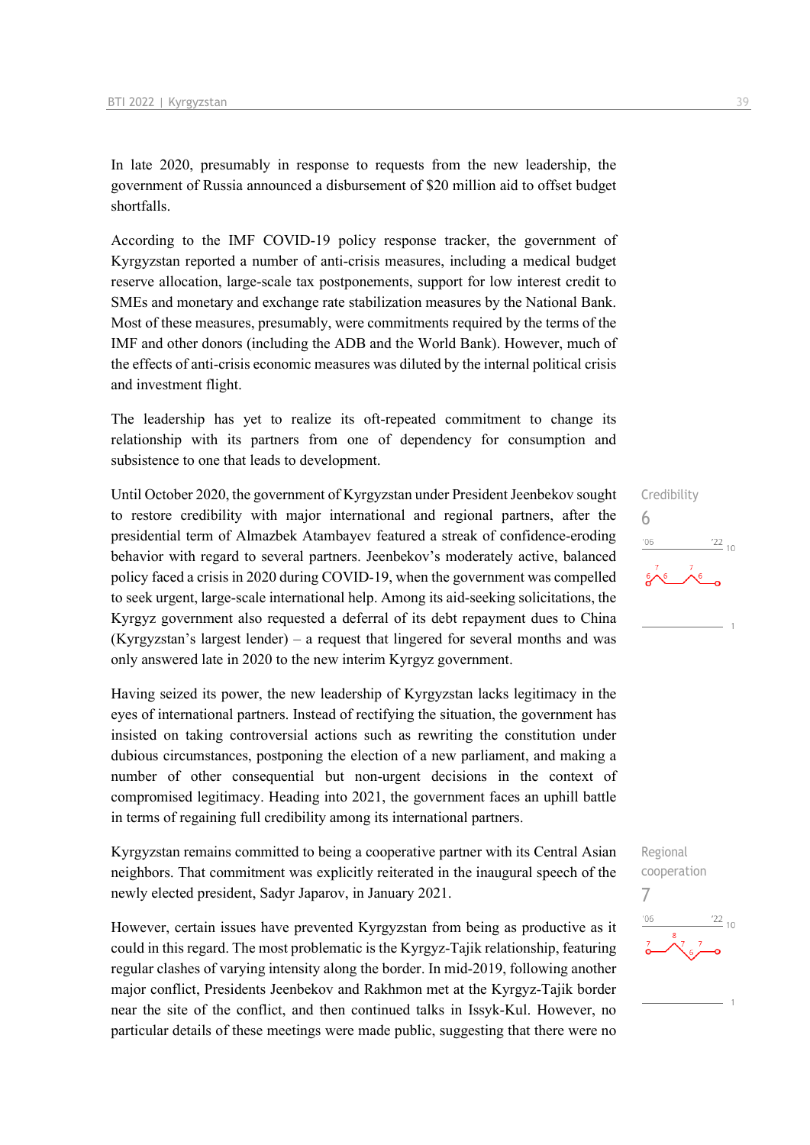In late 2020, presumably in response to requests from the new leadership, the government of Russia announced a disbursement of \$20 million aid to offset budget shortfalls.

According to the IMF COVID-19 policy response tracker, the government of Kyrgyzstan reported a number of anti-crisis measures, including a medical budget reserve allocation, large-scale tax postponements, support for low interest credit to SMEs and monetary and exchange rate stabilization measures by the National Bank. Most of these measures, presumably, were commitments required by the terms of the IMF and other donors (including the ADB and the World Bank). However, much of the effects of anti-crisis economic measures was diluted by the internal political crisis and investment flight.

The leadership has yet to realize its oft-repeated commitment to change its relationship with its partners from one of dependency for consumption and subsistence to one that leads to development.

Until October 2020, the government of Kyrgyzstan under President Jeenbekov sought to restore credibility with major international and regional partners, after the presidential term of Almazbek Atambayev featured a streak of confidence-eroding behavior with regard to several partners. Jeenbekov's moderately active, balanced policy faced a crisis in 2020 during COVID-19, when the government was compelled to seek urgent, large-scale international help. Among its aid-seeking solicitations, the Kyrgyz government also requested a deferral of its debt repayment dues to China (Kyrgyzstan's largest lender) – a request that lingered for several months and was only answered late in 2020 to the new interim Kyrgyz government.

Having seized its power, the new leadership of Kyrgyzstan lacks legitimacy in the eyes of international partners. Instead of rectifying the situation, the government has insisted on taking controversial actions such as rewriting the constitution under dubious circumstances, postponing the election of a new parliament, and making a number of other consequential but non-urgent decisions in the context of compromised legitimacy. Heading into 2021, the government faces an uphill battle in terms of regaining full credibility among its international partners.

Kyrgyzstan remains committed to being a cooperative partner with its Central Asian neighbors. That commitment was explicitly reiterated in the inaugural speech of the newly elected president, Sadyr Japarov, in January 2021.

However, certain issues have prevented Kyrgyzstan from being as productive as it could in this regard. The most problematic is the Kyrgyz-Tajik relationship, featuring regular clashes of varying intensity along the border. In mid-2019, following another major conflict, Presidents Jeenbekov and Rakhmon met at the Kyrgyz-Tajik border near the site of the conflict, and then continued talks in Issyk-Kul. However, no particular details of these meetings were made public, suggesting that there were no

# Credibility 6  $^{22}$  10

Regional cooperation 7 $^{\prime}06$  $\frac{22}{10}$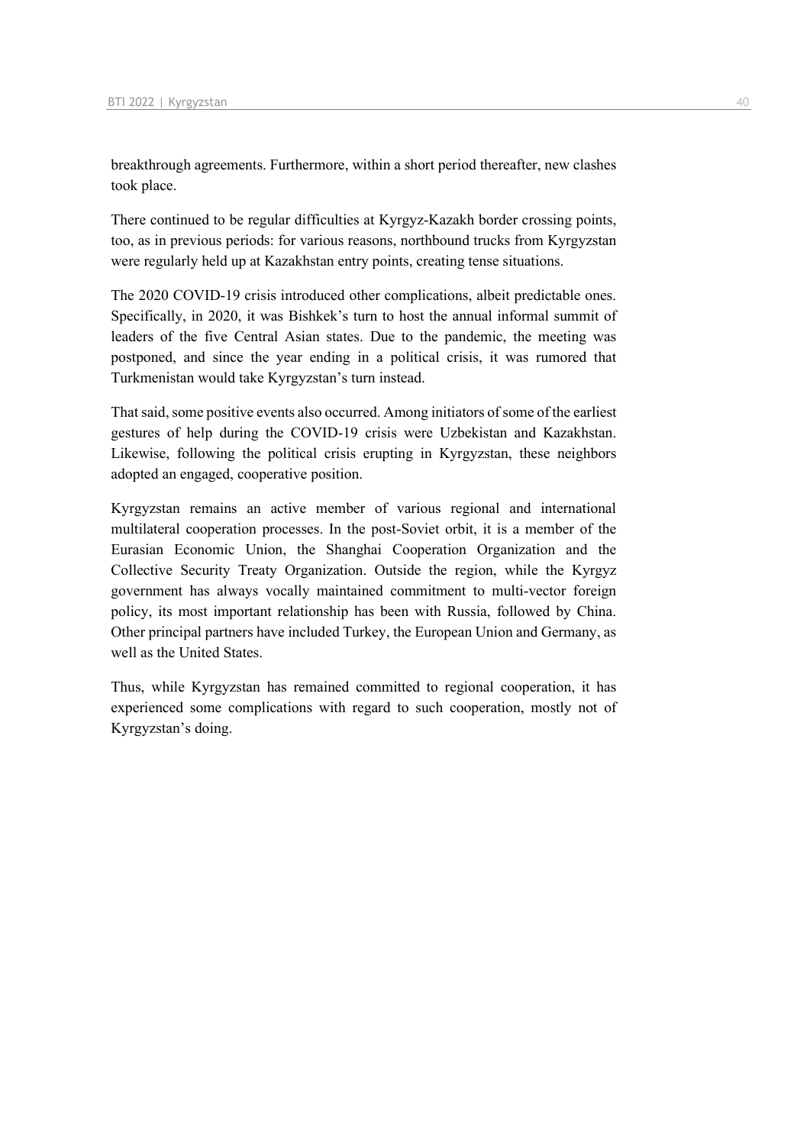breakthrough agreements. Furthermore, within a short period thereafter, new clashes took place.

There continued to be regular difficulties at Kyrgyz-Kazakh border crossing points, too, as in previous periods: for various reasons, northbound trucks from Kyrgyzstan were regularly held up at Kazakhstan entry points, creating tense situations.

The 2020 COVID-19 crisis introduced other complications, albeit predictable ones. Specifically, in 2020, it was Bishkek's turn to host the annual informal summit of leaders of the five Central Asian states. Due to the pandemic, the meeting was postponed, and since the year ending in a political crisis, it was rumored that Turkmenistan would take Kyrgyzstan's turn instead.

That said, some positive events also occurred. Among initiators of some of the earliest gestures of help during the COVID-19 crisis were Uzbekistan and Kazakhstan. Likewise, following the political crisis erupting in Kyrgyzstan, these neighbors adopted an engaged, cooperative position.

Kyrgyzstan remains an active member of various regional and international multilateral cooperation processes. In the post-Soviet orbit, it is a member of the Eurasian Economic Union, the Shanghai Cooperation Organization and the Collective Security Treaty Organization. Outside the region, while the Kyrgyz government has always vocally maintained commitment to multi-vector foreign policy, its most important relationship has been with Russia, followed by China. Other principal partners have included Turkey, the European Union and Germany, as well as the United States.

Thus, while Kyrgyzstan has remained committed to regional cooperation, it has experienced some complications with regard to such cooperation, mostly not of Kyrgyzstan's doing.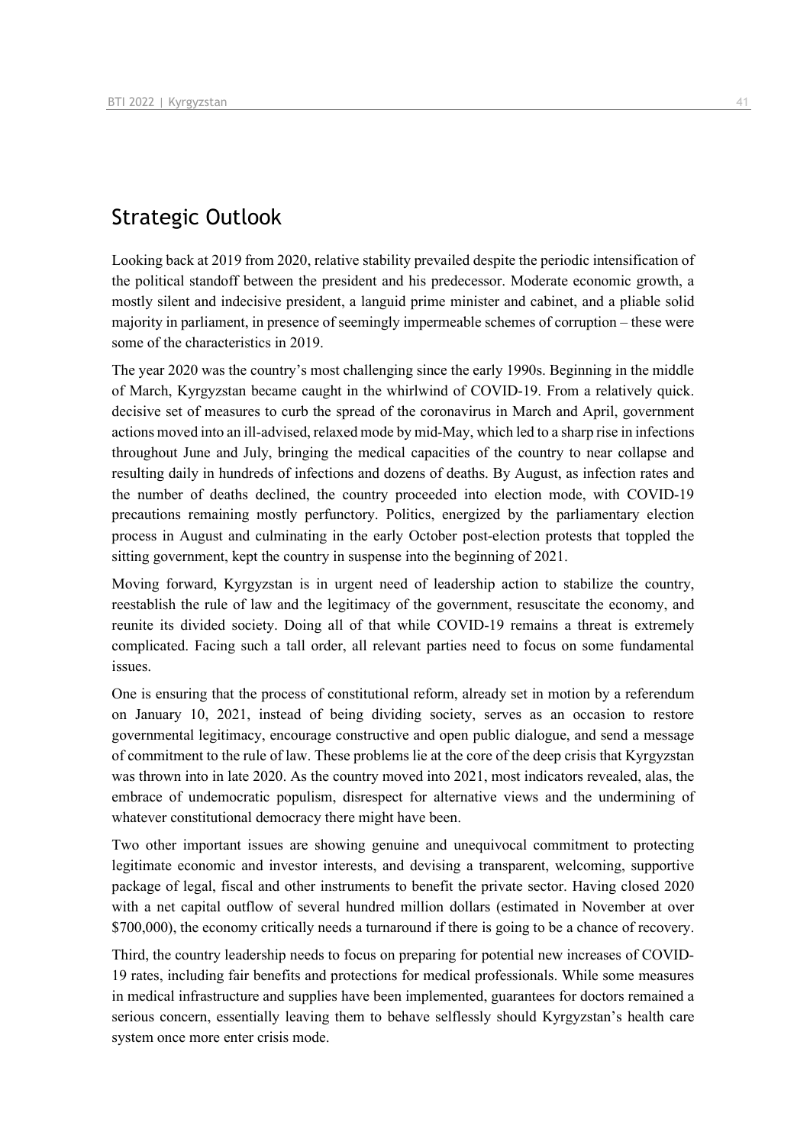# Strategic Outlook

Looking back at 2019 from 2020, relative stability prevailed despite the periodic intensification of the political standoff between the president and his predecessor. Moderate economic growth, a mostly silent and indecisive president, a languid prime minister and cabinet, and a pliable solid majority in parliament, in presence of seemingly impermeable schemes of corruption – these were some of the characteristics in 2019.

The year 2020 was the country's most challenging since the early 1990s. Beginning in the middle of March, Kyrgyzstan became caught in the whirlwind of COVID-19. From a relatively quick. decisive set of measures to curb the spread of the coronavirus in March and April, government actions moved into an ill-advised, relaxed mode by mid-May, which led to a sharp rise in infections throughout June and July, bringing the medical capacities of the country to near collapse and resulting daily in hundreds of infections and dozens of deaths. By August, as infection rates and the number of deaths declined, the country proceeded into election mode, with COVID-19 precautions remaining mostly perfunctory. Politics, energized by the parliamentary election process in August and culminating in the early October post-election protests that toppled the sitting government, kept the country in suspense into the beginning of 2021.

Moving forward, Kyrgyzstan is in urgent need of leadership action to stabilize the country, reestablish the rule of law and the legitimacy of the government, resuscitate the economy, and reunite its divided society. Doing all of that while COVID-19 remains a threat is extremely complicated. Facing such a tall order, all relevant parties need to focus on some fundamental issues.

One is ensuring that the process of constitutional reform, already set in motion by a referendum on January 10, 2021, instead of being dividing society, serves as an occasion to restore governmental legitimacy, encourage constructive and open public dialogue, and send a message of commitment to the rule of law. These problems lie at the core of the deep crisis that Kyrgyzstan was thrown into in late 2020. As the country moved into 2021, most indicators revealed, alas, the embrace of undemocratic populism, disrespect for alternative views and the undermining of whatever constitutional democracy there might have been.

Two other important issues are showing genuine and unequivocal commitment to protecting legitimate economic and investor interests, and devising a transparent, welcoming, supportive package of legal, fiscal and other instruments to benefit the private sector. Having closed 2020 with a net capital outflow of several hundred million dollars (estimated in November at over \$700,000), the economy critically needs a turnaround if there is going to be a chance of recovery.

Third, the country leadership needs to focus on preparing for potential new increases of COVID-19 rates, including fair benefits and protections for medical professionals. While some measures in medical infrastructure and supplies have been implemented, guarantees for doctors remained a serious concern, essentially leaving them to behave selflessly should Kyrgyzstan's health care system once more enter crisis mode.